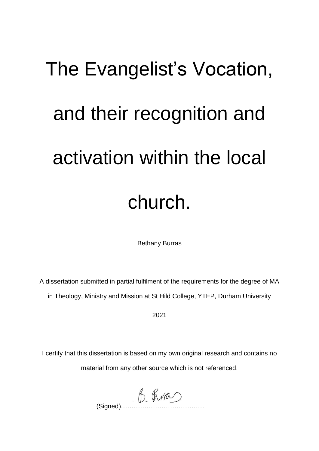# The Evangelist's Vocation, and their recognition and activation within the local church.

Bethany Burras

A dissertation submitted in partial fulfilment of the requirements for the degree of MA in Theology, Ministry and Mission at St Hild College, YTEP, Durham University

2021

I certify that this dissertation is based on my own original research and contains no material from any other source which is not referenced.

 $(B.$  Figured)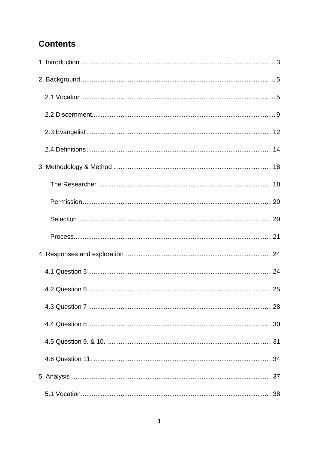# **Contents**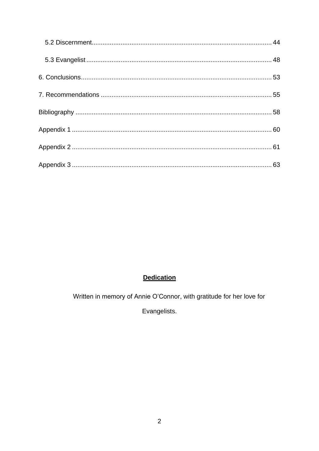# Dedication

Written in memory of Annie O'Connor, with gratitude for her love for

Evangelists.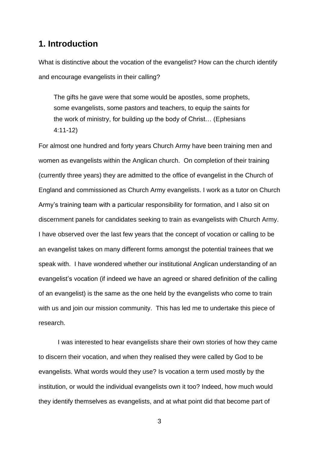# <span id="page-3-0"></span>**1. Introduction**

What is distinctive about the vocation of the evangelist? How can the church identify and encourage evangelists in their calling?

The gifts he gave were that some would be apostles, some prophets, some evangelists, some pastors and teachers, to equip the saints for the work of ministry, for building up the body of Christ… (Ephesians 4:11-12)

For almost one hundred and forty years Church Army have been training men and women as evangelists within the Anglican church. On completion of their training (currently three years) they are admitted to the office of evangelist in the Church of England and commissioned as Church Army evangelists. I work as a tutor on Church Army's training team with a particular responsibility for formation, and I also sit on discernment panels for candidates seeking to train as evangelists with Church Army. I have observed over the last few years that the concept of vocation or calling to be an evangelist takes on many different forms amongst the potential trainees that we speak with. I have wondered whether our institutional Anglican understanding of an evangelist's vocation (if indeed we have an agreed or shared definition of the calling of an evangelist) is the same as the one held by the evangelists who come to train with us and join our mission community. This has led me to undertake this piece of research.

I was interested to hear evangelists share their own stories of how they came to discern their vocation, and when they realised they were called by God to be evangelists. What words would they use? Is vocation a term used mostly by the institution, or would the individual evangelists own it too? Indeed, how much would they identify themselves as evangelists, and at what point did that become part of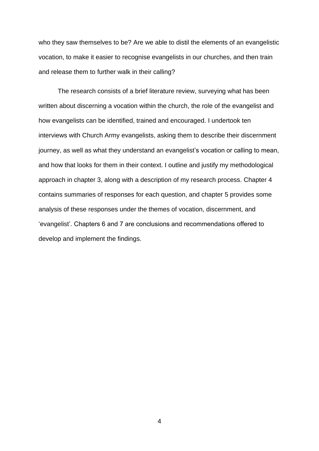who they saw themselves to be? Are we able to distil the elements of an evangelistic vocation, to make it easier to recognise evangelists in our churches, and then train and release them to further walk in their calling?

The research consists of a brief literature review, surveying what has been written about discerning a vocation within the church, the role of the evangelist and how evangelists can be identified, trained and encouraged. I undertook ten interviews with Church Army evangelists, asking them to describe their discernment journey, as well as what they understand an evangelist's vocation or calling to mean, and how that looks for them in their context. I outline and justify my methodological approach in chapter 3, along with a description of my research process. Chapter 4 contains summaries of responses for each question, and chapter 5 provides some analysis of these responses under the themes of vocation, discernment, and 'evangelist'. Chapters 6 and 7 are conclusions and recommendations offered to develop and implement the findings.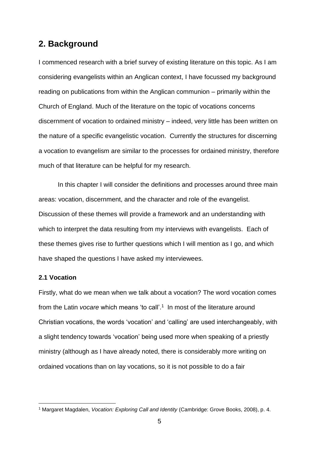# <span id="page-5-0"></span>**2. Background**

I commenced research with a brief survey of existing literature on this topic. As I am considering evangelists within an Anglican context, I have focussed my background reading on publications from within the Anglican communion – primarily within the Church of England. Much of the literature on the topic of vocations concerns discernment of vocation to ordained ministry – indeed, very little has been written on the nature of a specific evangelistic vocation. Currently the structures for discerning a vocation to evangelism are similar to the processes for ordained ministry, therefore much of that literature can be helpful for my research.

In this chapter I will consider the definitions and processes around three main areas: vocation, discernment, and the character and role of the evangelist. Discussion of these themes will provide a framework and an understanding with which to interpret the data resulting from my interviews with evangelists. Each of these themes gives rise to further questions which I will mention as I go, and which have shaped the questions I have asked my interviewees.

#### <span id="page-5-1"></span>**2.1 Vocation**

Firstly, what do we mean when we talk about a vocation? The word vocation comes from the Latin *vocare* which means 'to call'. 1 In most of the literature around Christian vocations, the words 'vocation' and 'calling' are used interchangeably, with a slight tendency towards 'vocation' being used more when speaking of a priestly ministry (although as I have already noted, there is considerably more writing on ordained vocations than on lay vocations, so it is not possible to do a fair

<sup>1</sup> Margaret Magdalen, *Vocation: Exploring Call and Identity* (Cambridge: Grove Books, 2008), p. 4.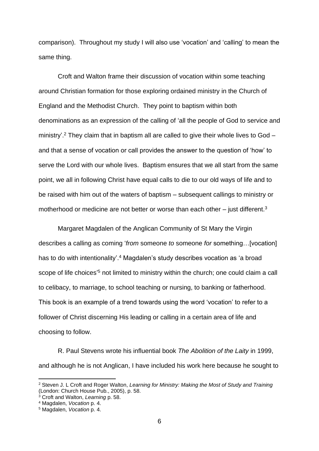comparison). Throughout my study I will also use 'vocation' and 'calling' to mean the same thing.

Croft and Walton frame their discussion of vocation within some teaching around Christian formation for those exploring ordained ministry in the Church of England and the Methodist Church. They point to baptism within both denominations as an expression of the calling of 'all the people of God to service and ministry'.<sup>2</sup> They claim that in baptism all are called to give their whole lives to God and that a sense of vocation or call provides the answer to the question of 'how' to serve the Lord with our whole lives. Baptism ensures that we all start from the same point, we all in following Christ have equal calls to die to our old ways of life and to be raised with him out of the waters of baptism – subsequent callings to ministry or motherhood or medicine are not better or worse than each other  $-$  just different.<sup>3</sup>

Margaret Magdalen of the Anglican Community of St Mary the Virgin describes a calling as coming '*from* someone *to* someone *for* something…[vocation] has to do with intentionality'. <sup>4</sup> Magdalen's study describes vocation as 'a broad scope of life choices<sup>'5</sup> not limited to ministry within the church; one could claim a call to celibacy, to marriage, to school teaching or nursing, to banking or fatherhood. This book is an example of a trend towards using the word 'vocation' to refer to a follower of Christ discerning His leading or calling in a certain area of life and choosing to follow.

R. Paul Stevens wrote his influential book *The Abolition of the Laity* in 1999, and although he is not Anglican, I have included his work here because he sought to

<sup>2</sup> Steven J. L Croft and Roger Walton, *Learning for Ministry: Making the Most of Study and Training* (London: Church House Pub., 2005), p. 58.

<sup>3</sup> Croft and Walton, *Learning* p. 58.

<sup>4</sup> Magdalen, *Vocation* p. 4.

<sup>5</sup> Magdalen, *Vocation* p. 4.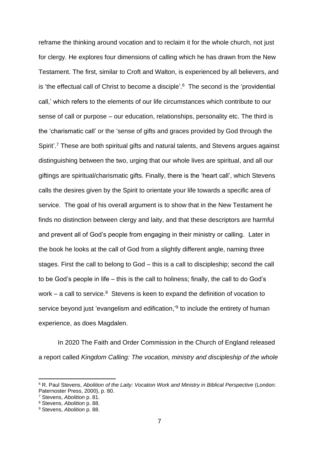reframe the thinking around vocation and to reclaim it for the whole church, not just for clergy. He explores four dimensions of calling which he has drawn from the New Testament. The first, similar to Croft and Walton, is experienced by all believers, and is 'the effectual call of Christ to become a disciple'. 6 The second is the 'providential call,' which refers to the elements of our life circumstances which contribute to our sense of call or purpose – our education, relationships, personality etc. The third is the 'charismatic call' or the 'sense of gifts and graces provided by God through the Spirit'.<sup>7</sup> These are both spiritual gifts and natural talents, and Stevens argues against distinguishing between the two, urging that our whole lives are spiritual, and all our giftings are spiritual/charismatic gifts. Finally, there is the 'heart call', which Stevens calls the desires given by the Spirit to orientate your life towards a specific area of service. The goal of his overall argument is to show that in the New Testament he finds no distinction between clergy and laity, and that these descriptors are harmful and prevent all of God's people from engaging in their ministry or calling. Later in the book he looks at the call of God from a slightly different angle, naming three stages. First the call to belong to God – this is a call to discipleship; second the call to be God's people in life – this is the call to holiness; finally, the call to do God's work  $-$  a call to service. $8$  Stevens is keen to expand the definition of vocation to service beyond just 'evangelism and edification,'<sup>9</sup> to include the entirety of human experience, as does Magdalen.

In 2020 The Faith and Order Commission in the Church of England released a report called *Kingdom Calling: The vocation, ministry and discipleship of the whole* 

<sup>6</sup> R. Paul Stevens, *Abolition of the Laity: Vocation Work and Ministry in Biblical Perspective* (London: Paternoster Press, 2000), p. 80.

<sup>7</sup> Stevens, *Abolition* p. 81.

<sup>8</sup> Stevens, *Abolition* p. 88.

<sup>9</sup> Stevens, *Abolition* p. 88.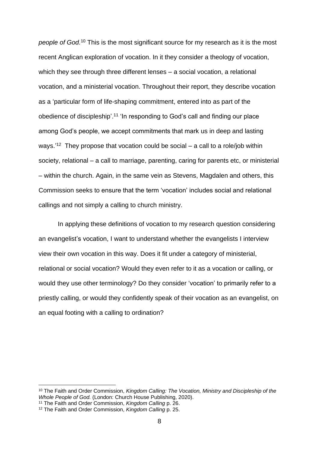*people of God.* <sup>10</sup> This is the most significant source for my research as it is the most recent Anglican exploration of vocation. In it they consider a theology of vocation, which they see through three different lenses – a social vocation, a relational vocation, and a ministerial vocation. Throughout their report, they describe vocation as a 'particular form of life-shaping commitment, entered into as part of the obedience of discipleship'.<sup>11</sup> 'In responding to God's call and finding our place among God's people, we accept commitments that mark us in deep and lasting ways.<sup>'12</sup> They propose that vocation could be social  $-$  a call to a role/job within society, relational – a call to marriage, parenting, caring for parents etc, or ministerial – within the church. Again, in the same vein as Stevens, Magdalen and others, this Commission seeks to ensure that the term 'vocation' includes social and relational callings and not simply a calling to church ministry.

In applying these definitions of vocation to my research question considering an evangelist's vocation, I want to understand whether the evangelists I interview view their own vocation in this way. Does it fit under a category of ministerial, relational or social vocation? Would they even refer to it as a vocation or calling, or would they use other terminology? Do they consider 'vocation' to primarily refer to a priestly calling, or would they confidently speak of their vocation as an evangelist, on an equal footing with a calling to ordination?

<sup>10</sup> The Faith and Order Commission, *Kingdom Calling: The Vocation, Ministry and Discipleship of the Whole People of God.* (London: Church House Publishing, 2020).

<sup>11</sup> The Faith and Order Commission, *Kingdom Calling* p. 26.

<sup>12</sup> The Faith and Order Commission, *Kingdom Calling* p. 25.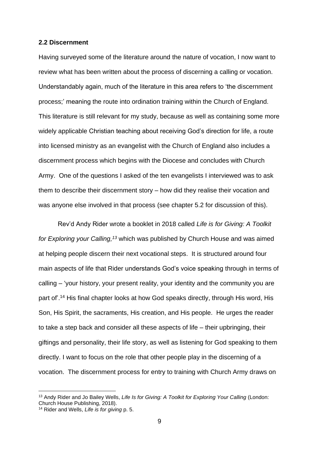#### <span id="page-9-0"></span>**2.2 Discernment**

Having surveyed some of the literature around the nature of vocation, I now want to review what has been written about the process of discerning a calling or vocation. Understandably again, much of the literature in this area refers to 'the discernment process;' meaning the route into ordination training within the Church of England. This literature is still relevant for my study, because as well as containing some more widely applicable Christian teaching about receiving God's direction for life, a route into licensed ministry as an evangelist with the Church of England also includes a discernment process which begins with the Diocese and concludes with Church Army. One of the questions I asked of the ten evangelists I interviewed was to ask them to describe their discernment story – how did they realise their vocation and was anyone else involved in that process (see chapter 5.2 for discussion of this).

Rev'd Andy Rider wrote a booklet in 2018 called *Life is for Giving: A Toolkit for Exploring your Calling, <sup>13</sup>* which was published by Church House and was aimed at helping people discern their next vocational steps. It is structured around four main aspects of life that Rider understands God's voice speaking through in terms of calling – 'your history, your present reality, your identity and the community you are part of'. <sup>14</sup> His final chapter looks at how God speaks directly, through His word, His Son, His Spirit, the sacraments, His creation, and His people. He urges the reader to take a step back and consider all these aspects of life – their upbringing, their giftings and personality, their life story, as well as listening for God speaking to them directly. I want to focus on the role that other people play in the discerning of a vocation. The discernment process for entry to training with Church Army draws on

<sup>13</sup> Andy Rider and Jo Bailey Wells, *Life Is for Giving: A Toolkit for Exploring Your Calling* (London: Church House Publishing, 2018).

<sup>14</sup> Rider and Wells, *Life is for giving* p. 5.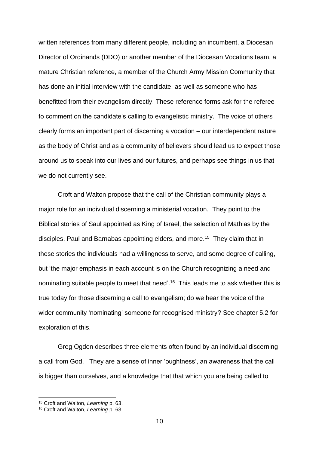written references from many different people, including an incumbent, a Diocesan Director of Ordinands (DDO) or another member of the Diocesan Vocations team, a mature Christian reference, a member of the Church Army Mission Community that has done an initial interview with the candidate, as well as someone who has benefitted from their evangelism directly. These reference forms ask for the referee to comment on the candidate's calling to evangelistic ministry. The voice of others clearly forms an important part of discerning a vocation – our interdependent nature as the body of Christ and as a community of believers should lead us to expect those around us to speak into our lives and our futures, and perhaps see things in us that we do not currently see.

Croft and Walton propose that the call of the Christian community plays a major role for an individual discerning a ministerial vocation. They point to the Biblical stories of Saul appointed as King of Israel, the selection of Mathias by the disciples, Paul and Barnabas appointing elders, and more.<sup>15</sup> They claim that in these stories the individuals had a willingness to serve, and some degree of calling, but 'the major emphasis in each account is on the Church recognizing a need and nominating suitable people to meet that need'.<sup>16</sup> This leads me to ask whether this is true today for those discerning a call to evangelism; do we hear the voice of the wider community 'nominating' someone for recognised ministry? See chapter 5.2 for exploration of this.

Greg Ogden describes three elements often found by an individual discerning a call from God. They are a sense of inner 'oughtness', an awareness that the call is bigger than ourselves, and a knowledge that that which you are being called to

<sup>15</sup> Croft and Walton, *Learning* p. 63.

<sup>16</sup> Croft and Walton, *Learning* p. 63.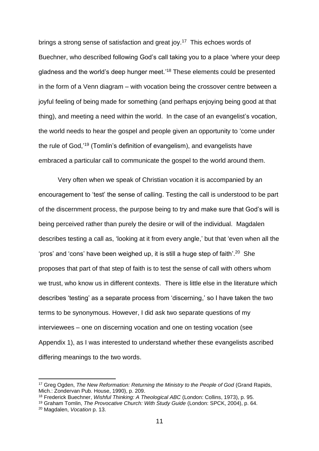brings a strong sense of satisfaction and great joy.<sup>17</sup> This echoes words of Buechner, who described following God's call taking you to a place 'where your deep gladness and the world's deep hunger meet.<sup>'18</sup> These elements could be presented in the form of a Venn diagram – with vocation being the crossover centre between a joyful feeling of being made for something (and perhaps enjoying being good at that thing), and meeting a need within the world. In the case of an evangelist's vocation, the world needs to hear the gospel and people given an opportunity to 'come under the rule of God,<sup>'19</sup> (Tomlin's definition of evangelism), and evangelists have embraced a particular call to communicate the gospel to the world around them.

Very often when we speak of Christian vocation it is accompanied by an encouragement to 'test' the sense of calling. Testing the call is understood to be part of the discernment process, the purpose being to try and make sure that God's will is being perceived rather than purely the desire or will of the individual. Magdalen describes testing a call as, 'looking at it from every angle,' but that 'even when all the 'pros' and 'cons' have been weighed up, it is still a huge step of faith'.<sup>20</sup> She proposes that part of that step of faith is to test the sense of call with others whom we trust, who know us in different contexts. There is little else in the literature which describes 'testing' as a separate process from 'discerning,' so I have taken the two terms to be synonymous. However, I did ask two separate questions of my interviewees – one on discerning vocation and one on testing vocation (see Appendix 1), as I was interested to understand whether these evangelists ascribed differing meanings to the two words.

<sup>17</sup> Greg Ogden, *The New Reformation: Returning the Ministry to the People of God* (Grand Rapids, Mich.: Zondervan Pub. House, 1990), p. 209.

<sup>18</sup> Frederick Buechner, *Wishful Thinking: A Theological ABC* (London: Collins, 1973), p. 95.

<sup>19</sup> Graham Tomlin, *The Provocative Church: With Study Guide* (London: SPCK, 2004), p. 64.

<sup>20</sup> Magdalen, *Vocation* p. 13.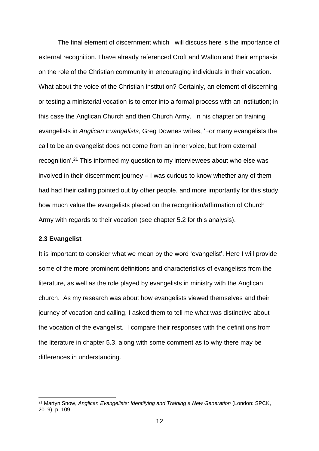The final element of discernment which I will discuss here is the importance of external recognition. I have already referenced Croft and Walton and their emphasis on the role of the Christian community in encouraging individuals in their vocation. What about the voice of the Christian institution? Certainly, an element of discerning or testing a ministerial vocation is to enter into a formal process with an institution; in this case the Anglican Church and then Church Army. In his chapter on training evangelists in *Anglican Evangelists,* Greg Downes writes, 'For many evangelists the call to be an evangelist does not come from an inner voice, but from external recognition'. <sup>21</sup> This informed my question to my interviewees about who else was involved in their discernment journey – I was curious to know whether any of them had had their calling pointed out by other people, and more importantly for this study, how much value the evangelists placed on the recognition/affirmation of Church Army with regards to their vocation (see chapter 5.2 for this analysis).

#### <span id="page-12-0"></span>**2.3 Evangelist**

It is important to consider what we mean by the word 'evangelist'. Here I will provide some of the more prominent definitions and characteristics of evangelists from the literature, as well as the role played by evangelists in ministry with the Anglican church. As my research was about how evangelists viewed themselves and their journey of vocation and calling, I asked them to tell me what was distinctive about the vocation of the evangelist. I compare their responses with the definitions from the literature in chapter 5.3, along with some comment as to why there may be differences in understanding.

<sup>21</sup> Martyn Snow, *Anglican Evangelists: Identifying and Training a New Generation* (London: SPCK, 2019), p. 109.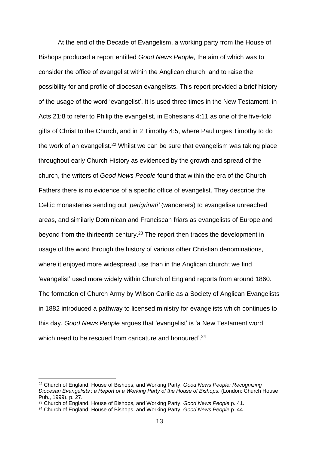At the end of the Decade of Evangelism, a working party from the House of Bishops produced a report entitled *Good News People,* the aim of which was to consider the office of evangelist within the Anglican church, and to raise the possibility for and profile of diocesan evangelists. This report provided a brief history of the usage of the word 'evangelist'. It is used three times in the New Testament: in Acts 21:8 to refer to Philip the evangelist, in Ephesians 4:11 as one of the five-fold gifts of Christ to the Church, and in 2 Timothy 4:5, where Paul urges Timothy to do the work of an evangelist.<sup>22</sup> Whilst we can be sure that evangelism was taking place throughout early Church History as evidenced by the growth and spread of the church, the writers of *Good News People* found that within the era of the Church Fathers there is no evidence of a specific office of evangelist. They describe the Celtic monasteries sending out '*perigrinati'* (wanderers) to evangelise unreached areas, and similarly Dominican and Franciscan friars as evangelists of Europe and beyond from the thirteenth century.<sup>23</sup> The report then traces the development in usage of the word through the history of various other Christian denominations, where it enjoyed more widespread use than in the Anglican church; we find 'evangelist' used more widely within Church of England reports from around 1860. The formation of Church Army by Wilson Carlile as a Society of Anglican Evangelists in 1882 introduced a pathway to licensed ministry for evangelists which continues to this day. *Good News People* argues that 'evangelist' is 'a New Testament word, which need to be rescued from caricature and honoured'.<sup>24</sup>

<sup>22</sup> Church of England, House of Bishops, and Working Party, *Good News People: Recognizing Diocesan Evangelists ; a Report of a Working Party of the House of Bishops.* (London: Church House Pub., 1999), p. 27.

<sup>23</sup> Church of England, House of Bishops, and Working Party, *Good News People* p. 41.

<sup>24</sup> Church of England, House of Bishops, and Working Party, *Good News People* p. 44.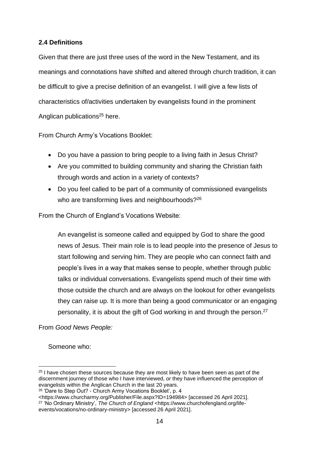## <span id="page-14-0"></span>**2.4 Definitions**

Given that there are just three uses of the word in the New Testament, and its meanings and connotations have shifted and altered through church tradition, it can be difficult to give a precise definition of an evangelist. I will give a few lists of characteristics of/activities undertaken by evangelists found in the prominent Anglican publications<sup>25</sup> here.

From Church Army's Vocations Booklet:

- Do you have a passion to bring people to a living faith in Jesus Christ?
- Are you committed to building community and sharing the Christian faith through words and action in a variety of contexts?
- Do you feel called to be part of a community of commissioned evangelists who are transforming lives and neighbourhoods?<sup>26</sup>

From the Church of England's Vocations Website:

An evangelist is someone called and equipped by God to share the good news of Jesus. Their main role is to lead people into the presence of Jesus to start following and serving him. They are people who can connect faith and people's lives in a way that makes sense to people, whether through public talks or individual conversations. Evangelists spend much of their time with those outside the church and are always on the lookout for other evangelists they can raise up. It is more than being a good communicator or an engaging personality, it is about the gift of God working in and through the person.<sup>27</sup>

From *Good News People:*

Someone who:

<https://www.churcharmy.org/Publisher/File.aspx?ID=194984> [accessed 26 April 2021]. <sup>27</sup> 'No Ordinary Ministry', *The Church of England* <https://www.churchofengland.org/lifeevents/vocations/no-ordinary-ministry> [accessed 26 April 2021].

 $25$  I have chosen these sources because they are most likely to have been seen as part of the discernment journey of those who I have interviewed, or they have influenced the perception of evangelists within the Anglican Church in the last 20 years.

<sup>&</sup>lt;sup>26</sup> 'Dare to Step Out? - Church Army Vocations Booklet', p. 4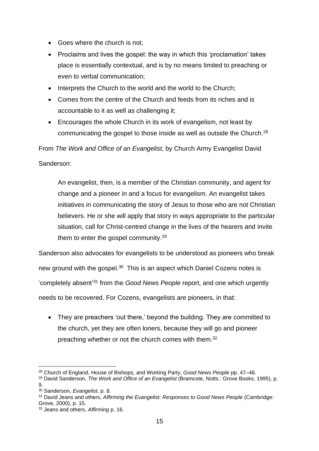- Goes where the church is not;
- Proclaims and lives the gospel: the way in which this 'proclamation' takes place is essentially contextual, and is by no means limited to preaching or even to verbal communication;
- Interprets the Church to the world and the world to the Church;
- Comes from the centre of the Church and feeds from its riches and is accountable to it as well as challenging it;
- Encourages the whole Church in its work of evangelism, not least by communicating the gospel to those inside as well as outside the Church.<sup>28</sup>

From *The Work and Office of an Evangelist,* by Church Army Evangelist David

Sanderson:

An evangelist, then, is a member of the Christian community, and agent for change and a pioneer in and a focus for evangelism. An evangelist takes initiatives in communicating the story of Jesus to those who are not Christian believers. He or she will apply that story in ways appropriate to the particular situation, call for Christ-centred change in the lives of the hearers and invite them to enter the gospel community.<sup>29</sup>

Sanderson also advocates for evangelists to be understood as pioneers who break new ground with the gospel.<sup>30</sup> This is an aspect which Daniel Cozens notes is 'completely absent' <sup>31</sup> from the *Good News People* report, and one which urgently needs to be recovered. For Cozens, evangelists are pioneers, in that:

• They are preachers 'out there,' beyond the building. They are committed to the church, yet they are often loners, because they will go and pioneer preaching whether or not the church comes with them.<sup>32</sup>

<sup>28</sup> Church of England, House of Bishops, and Working Party, *Good News People* pp. 47–48.

<sup>29</sup> David Sanderson, *The Work and Office of an Evangelist* (Bramcote, Notts.: Grove Books, 1995), p. 9.

<sup>30</sup> Sanderson, *Evangelist*, p. 8.

<sup>31</sup> David Jeans and others, *Affirming the Evangelist: Responses to Good News People* (Cambridge: Grove, 2000), p. 15.

<sup>32</sup> Jeans and others, *Affirming* p. 16.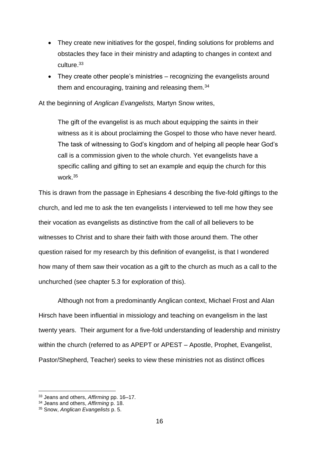- They create new initiatives for the gospel, finding solutions for problems and obstacles they face in their ministry and adapting to changes in context and culture.<sup>33</sup>
- They create other people's ministries recognizing the evangelists around them and encouraging, training and releasing them.<sup>34</sup>

At the beginning of *Anglican Evangelists,* Martyn Snow writes,

The gift of the evangelist is as much about equipping the saints in their witness as it is about proclaiming the Gospel to those who have never heard. The task of witnessing to God's kingdom and of helping all people hear God's call is a commission given to the whole church. Yet evangelists have a specific calling and gifting to set an example and equip the church for this work.<sup>35</sup>

This is drawn from the passage in Ephesians 4 describing the five-fold giftings to the church, and led me to ask the ten evangelists I interviewed to tell me how they see their vocation as evangelists as distinctive from the call of all believers to be witnesses to Christ and to share their faith with those around them. The other question raised for my research by this definition of evangelist, is that I wondered how many of them saw their vocation as a gift to the church as much as a call to the unchurched (see chapter 5.3 for exploration of this).

Although not from a predominantly Anglican context, Michael Frost and Alan Hirsch have been influential in missiology and teaching on evangelism in the last twenty years. Their argument for a five-fold understanding of leadership and ministry within the church (referred to as APEPT or APEST – Apostle, Prophet, Evangelist, Pastor/Shepherd, Teacher) seeks to view these ministries not as distinct offices

<sup>33</sup> Jeans and others, *Affirming* pp. 16–17.

<sup>34</sup> Jeans and others, *Affirming* p. 18.

<sup>35</sup> Snow, *Anglican Evangelists* p. 5.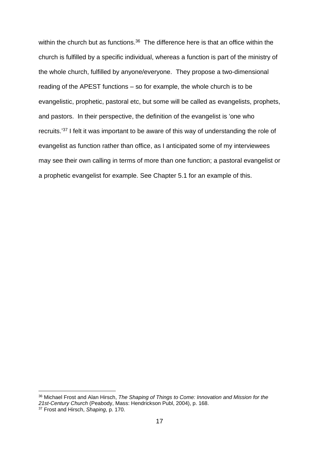within the church but as functions.<sup>36</sup> The difference here is that an office within the church is fulfilled by a specific individual, whereas a function is part of the ministry of the whole church, fulfilled by anyone/everyone. They propose a two-dimensional reading of the APEST functions – so for example, the whole church is to be evangelistic, prophetic, pastoral etc, but some will be called as evangelists, prophets, and pastors. In their perspective, the definition of the evangelist is 'one who recruits.' <sup>37</sup> I felt it was important to be aware of this way of understanding the role of evangelist as function rather than office, as I anticipated some of my interviewees may see their own calling in terms of more than one function; a pastoral evangelist or a prophetic evangelist for example. See Chapter 5.1 for an example of this.

<span id="page-17-0"></span><sup>36</sup> Michael Frost and Alan Hirsch, *The Shaping of Things to Come: Innovation and Mission for the 21st-Century Church* (Peabody, Mass: Hendrickson Publ, 2004), p. 168.

<sup>37</sup> Frost and Hirsch, *Shaping*, p. 170.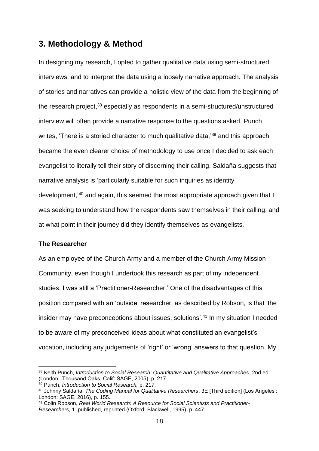# **3. Methodology & Method**

In designing my research, I opted to gather qualitative data using semi-structured interviews, and to interpret the data using a loosely narrative approach. The analysis of stories and narratives can provide a holistic view of the data from the beginning of the research project, <sup>38</sup> especially as respondents in a semi-structured/unstructured interview will often provide a narrative response to the questions asked. Punch writes, 'There is a storied character to much qualitative data,'<sup>39</sup> and this approach became the even clearer choice of methodology to use once I decided to ask each evangelist to literally tell their story of discerning their calling. Saldaña suggests that narrative analysis is 'particularly suitable for such inquiries as identity development,<sup>'40</sup> and again, this seemed the most appropriate approach given that I was seeking to understand how the respondents saw themselves in their calling, and at what point in their journey did they identify themselves as evangelists.

#### <span id="page-18-0"></span>**The Researcher**

As an employee of the Church Army and a member of the Church Army Mission Community, even though I undertook this research as part of my independent studies, I was still a 'Practitioner-Researcher.' One of the disadvantages of this position compared with an 'outside' researcher, as described by Robson, is that 'the insider may have preconceptions about issues, solutions'. <sup>41</sup> In my situation I needed to be aware of my preconceived ideas about what constituted an evangelist's vocation, including any judgements of 'right' or 'wrong' answers to that question. My

<sup>38</sup> Keith Punch, *Introduction to Social Research: Quantitative and Qualitative Approaches*, 2nd ed (London ; Thousand Oaks, Calif: SAGE, 2005), p. 217.

<sup>39</sup> Punch, *Introduction to Social Research,* p. 217.

<sup>40</sup> Johnny Saldaña, *The Coding Manual for Qualitative Researchers*, 3E [Third edition] (Los Angeles ; London: SAGE, 2016), p. 155.

<sup>41</sup> Colin Robson, *Real World Research: A Resource for Social Scientists and Practitioner-Researchers*, 1. published, reprinted (Oxford: Blackwell, 1995), p. 447.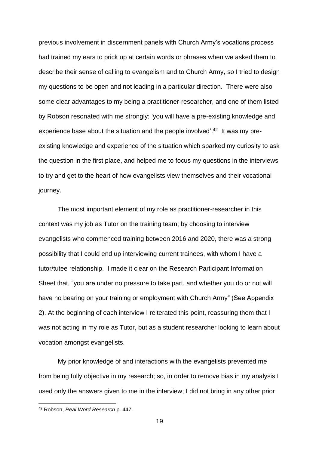previous involvement in discernment panels with Church Army's vocations process had trained my ears to prick up at certain words or phrases when we asked them to describe their sense of calling to evangelism and to Church Army, so I tried to design my questions to be open and not leading in a particular direction. There were also some clear advantages to my being a practitioner-researcher, and one of them listed by Robson resonated with me strongly; 'you will have a pre-existing knowledge and experience base about the situation and the people involved'.<sup>42</sup> It was my preexisting knowledge and experience of the situation which sparked my curiosity to ask the question in the first place, and helped me to focus my questions in the interviews to try and get to the heart of how evangelists view themselves and their vocational journey.

The most important element of my role as practitioner-researcher in this context was my job as Tutor on the training team; by choosing to interview evangelists who commenced training between 2016 and 2020, there was a strong possibility that I could end up interviewing current trainees, with whom I have a tutor/tutee relationship. I made it clear on the Research Participant Information Sheet that, "you are under no pressure to take part, and whether you do or not will have no bearing on your training or employment with Church Army" (See Appendix 2). At the beginning of each interview I reiterated this point, reassuring them that I was not acting in my role as Tutor, but as a student researcher looking to learn about vocation amongst evangelists.

My prior knowledge of and interactions with the evangelists prevented me from being fully objective in my research; so, in order to remove bias in my analysis I used only the answers given to me in the interview; I did not bring in any other prior

<sup>42</sup> Robson, *Real Word Research* p. 447.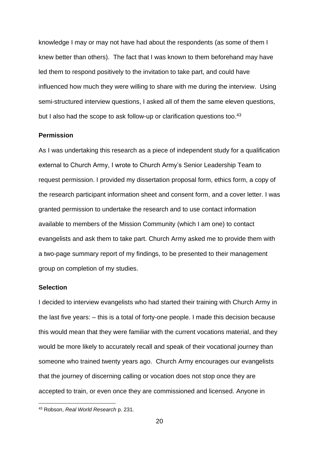knowledge I may or may not have had about the respondents (as some of them I knew better than others). The fact that I was known to them beforehand may have led them to respond positively to the invitation to take part, and could have influenced how much they were willing to share with me during the interview. Using semi-structured interview questions, I asked all of them the same eleven questions, but I also had the scope to ask follow-up or clarification questions too.<sup>43</sup>

#### <span id="page-20-0"></span>**Permission**

As I was undertaking this research as a piece of independent study for a qualification external to Church Army, I wrote to Church Army's Senior Leadership Team to request permission. I provided my dissertation proposal form, ethics form, a copy of the research participant information sheet and consent form, and a cover letter. I was granted permission to undertake the research and to use contact information available to members of the Mission Community (which I am one) to contact evangelists and ask them to take part. Church Army asked me to provide them with a two-page summary report of my findings, to be presented to their management group on completion of my studies.

#### <span id="page-20-1"></span>**Selection**

I decided to interview evangelists who had started their training with Church Army in the last five years: – this is a total of forty-one people. I made this decision because this would mean that they were familiar with the current vocations material, and they would be more likely to accurately recall and speak of their vocational journey than someone who trained twenty years ago. Church Army encourages our evangelists that the journey of discerning calling or vocation does not stop once they are accepted to train, or even once they are commissioned and licensed. Anyone in

<sup>43</sup> Robson, *Real World Research* p. 231.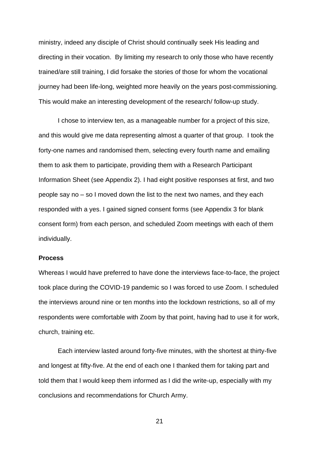ministry, indeed any disciple of Christ should continually seek His leading and directing in their vocation. By limiting my research to only those who have recently trained/are still training, I did forsake the stories of those for whom the vocational journey had been life-long, weighted more heavily on the years post-commissioning. This would make an interesting development of the research/ follow-up study.

I chose to interview ten, as a manageable number for a project of this size, and this would give me data representing almost a quarter of that group. I took the forty-one names and randomised them, selecting every fourth name and emailing them to ask them to participate, providing them with a Research Participant Information Sheet (see Appendix 2). I had eight positive responses at first, and two people say no – so I moved down the list to the next two names, and they each responded with a yes. I gained signed consent forms (see Appendix 3 for blank consent form) from each person, and scheduled Zoom meetings with each of them individually.

#### <span id="page-21-0"></span>**Process**

Whereas I would have preferred to have done the interviews face-to-face, the project took place during the COVID-19 pandemic so I was forced to use Zoom. I scheduled the interviews around nine or ten months into the lockdown restrictions, so all of my respondents were comfortable with Zoom by that point, having had to use it for work, church, training etc.

Each interview lasted around forty-five minutes, with the shortest at thirty-five and longest at fifty-five. At the end of each one I thanked them for taking part and told them that I would keep them informed as I did the write-up, especially with my conclusions and recommendations for Church Army.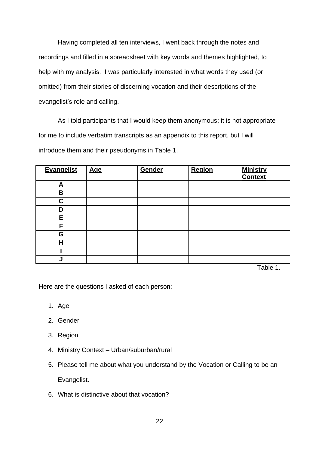Having completed all ten interviews, I went back through the notes and recordings and filled in a spreadsheet with key words and themes highlighted, to help with my analysis. I was particularly interested in what words they used (or omitted) from their stories of discerning vocation and their descriptions of the evangelist's role and calling.

As I told participants that I would keep them anonymous; it is not appropriate for me to include verbatim transcripts as an appendix to this report, but I will introduce them and their pseudonyms in Table 1.

| <b>Evangelist</b> | <b>Age</b> | Gender | Region | <b>Ministry</b><br><b>Context</b> |
|-------------------|------------|--------|--------|-----------------------------------|
| A                 |            |        |        |                                   |
| B                 |            |        |        |                                   |
| C                 |            |        |        |                                   |
| D                 |            |        |        |                                   |
| E                 |            |        |        |                                   |
| F                 |            |        |        |                                   |
| G                 |            |        |        |                                   |
| H                 |            |        |        |                                   |
|                   |            |        |        |                                   |
| J                 |            |        |        | .                                 |

Table 1.

Here are the questions I asked of each person:

- 1. Age
- 2. Gender
- 3. Region
- 4. Ministry Context Urban/suburban/rural
- 5. Please tell me about what you understand by the Vocation or Calling to be an Evangelist.
- 6. What is distinctive about that vocation?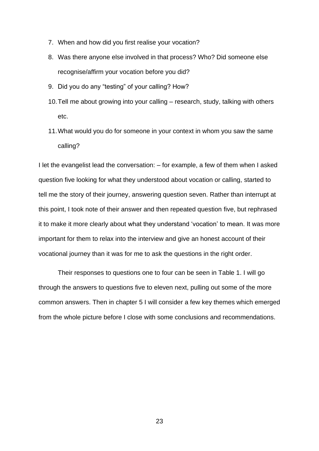- 7. When and how did you first realise your vocation?
- 8. Was there anyone else involved in that process? Who? Did someone else recognise/affirm your vocation before you did?
- 9. Did you do any "testing" of your calling? How?
- 10.Tell me about growing into your calling research, study, talking with others etc.
- 11.What would you do for someone in your context in whom you saw the same calling?

I let the evangelist lead the conversation: – for example, a few of them when I asked question five looking for what they understood about vocation or calling, started to tell me the story of their journey, answering question seven. Rather than interrupt at this point, I took note of their answer and then repeated question five, but rephrased it to make it more clearly about what they understand 'vocation' to mean. It was more important for them to relax into the interview and give an honest account of their vocational journey than it was for me to ask the questions in the right order.

Their responses to questions one to four can be seen in Table 1. I will go through the answers to questions five to eleven next, pulling out some of the more common answers. Then in chapter 5 I will consider a few key themes which emerged from the whole picture before I close with some conclusions and recommendations.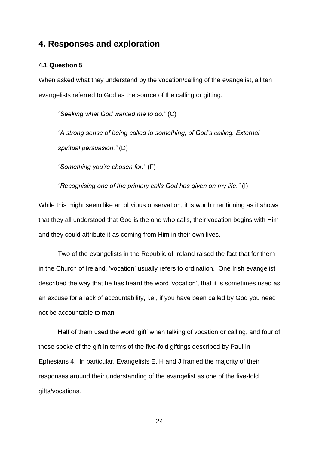# <span id="page-24-0"></span>**4. Responses and exploration**

#### <span id="page-24-1"></span>**4.1 Question 5**

When asked what they understand by the vocation/calling of the evangelist, all ten evangelists referred to God as the source of the calling or gifting.

*"Seeking what God wanted me to do."* (C)

*"A strong sense of being called to something, of God's calling. External spiritual persuasion."* (D)

*"Something you're chosen for."* (F)

*"Recognising one of the primary calls God has given on my life."* (I)

While this might seem like an obvious observation, it is worth mentioning as it shows that they all understood that God is the one who calls, their vocation begins with Him and they could attribute it as coming from Him in their own lives.

Two of the evangelists in the Republic of Ireland raised the fact that for them in the Church of Ireland, 'vocation' usually refers to ordination. One Irish evangelist described the way that he has heard the word 'vocation', that it is sometimes used as an excuse for a lack of accountability, i.e., if you have been called by God you need not be accountable to man.

Half of them used the word 'gift' when talking of vocation or calling, and four of these spoke of the gift in terms of the five-fold giftings described by Paul in Ephesians 4. In particular, Evangelists E, H and J framed the majority of their responses around their understanding of the evangelist as one of the five-fold gifts/vocations.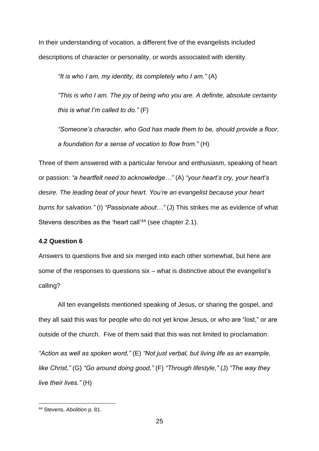In their understanding of vocation, a different five of the evangelists included descriptions of character or personality, or words associated with identity.

*"It is who I am, my identity, its completely who I am."* (A)

*"This is who I am. The joy of being who you are. A definite, absolute certainty this is what I'm called to do."* (F)

*"Someone's character, who God has made them to be, should provide a floor, a foundation for a sense of vocation to flow from."* (H)

Three of them answered with a particular fervour and enthusiasm, speaking of heart or passion: *"a heartfelt need to acknowledge…"* (A) *"your heart's cry, your heart's desire. The leading beat of your heart. You're an evangelist because your heart burns for salvation."* (I) *"Passionate about…"* (J) This strikes me as evidence of what Stevens describes as the 'heart call'<sup>44</sup> (see chapter 2.1).

#### <span id="page-25-0"></span>**4.2 Question 6**

Answers to questions five and six merged into each other somewhat, but here are some of the responses to questions six – what is distinctive about the evangelist's calling?

All ten evangelists mentioned speaking of Jesus, or sharing the gospel, and they all said this was for people who do not yet know Jesus, or who are "lost," or are outside of the church. Five of them said that this was not limited to proclamation: *"Action as well as spoken word,"* (E) *"Not just verbal, but living life as an example, like Christ,"* (G) *"Go around doing good,"* (F) *"Through lifestyle,"* (J) *"The way they live their lives."* (H)

<sup>44</sup> Stevens, *Abolition* p. 81.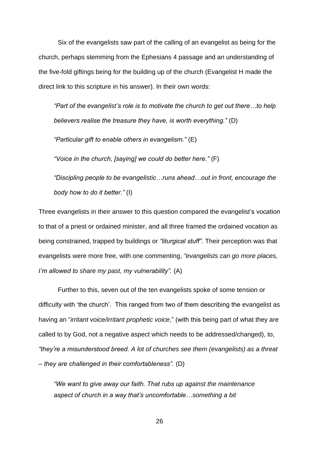Six of the evangelists saw part of the calling of an evangelist as being for the church, perhaps stemming from the Ephesians 4 passage and an understanding of the five-fold giftings being for the building up of the church (Evangelist H made the direct link to this scripture in his answer). In their own words:

*"Part of the evangelist's role is to motivate the church to get out there…to help believers realise the treasure they have, is worth everything."* (D)

*"Particular gift to enable others in evangelism."* (E)

*"Voice in the church, [saying] we could do better here."* (F)

*"Discipling people to be evangelistic…runs ahead…out in front, encourage the body how to do it better."* (I)

Three evangelists in their answer to this question compared the evangelist's vocation to that of a priest or ordained minister, and all three framed the ordained vocation as being constrained, trapped by buildings or *"liturgical stuff".* Their perception was that evangelists were more free, with one commenting, *"evangelists can go more places, I'm allowed to share my past, my vulnerability".* (A)

Further to this, seven out of the ten evangelists spoke of some tension or difficulty with 'the church'. This ranged from two of them describing the evangelist as having an "*irritant voice/irritant prophetic voice*," (with this being part of what they are called to by God, not a negative aspect which needs to be addressed/changed), to, *"they're a misunderstood breed. A lot of churches see them (evangelists) as a threat – they are challenged in their comfortableness".* (D)

*"We want to give away our faith. That rubs up against the maintenance aspect of church in a way that's uncomfortable…something a bit*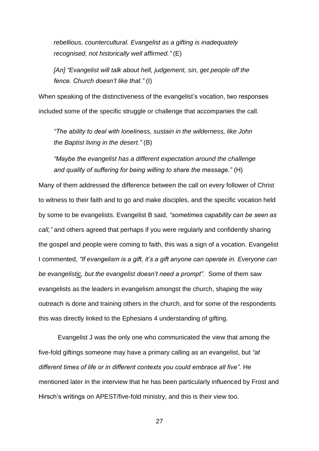*rebellious, countercultural. Evangelist as a gifting is inadequately recognised, not historically well affirmed."* (E)

*[An] "Evangelist will talk about hell, judgement, sin, get people off the fence. Church doesn't like that."* (I)

When speaking of the distinctiveness of the evangelist's vocation, two responses included some of the specific struggle or challenge that accompanies the call.

*"The ability to deal with loneliness, sustain in the wilderness, like John the Baptist living in the desert."* (B)

*"Maybe the evangelist has a different expectation around the challenge and quality of suffering for being willing to share the message."* (H)

Many of them addressed the difference between the call on every follower of Christ to witness to their faith and to go and make disciples, and the specific vocation held by some to be evangelists. Evangelist B said, *"sometimes capability can be seen as call,"* and others agreed that perhaps if you were regularly and confidently sharing the gospel and people were coming to faith, this was a sign of a vocation. Evangelist I commented, *"If evangelism is a gift, it's a gift anyone can operate in. Everyone can be evangelistic, but the evangelist doesn't need a prompt".* Some of them saw evangelists as the leaders in evangelism amongst the church, shaping the way outreach is done and training others in the church, and for some of the respondents this was directly linked to the Ephesians 4 understanding of gifting.

Evangelist J was the only one who communicated the view that among the five-fold giftings someone may have a primary calling as an evangelist, but *"at different times of life or in different contexts you could embrace all five".* He mentioned later in the interview that he has been particularly influenced by Frost and Hirsch's writings on APEST/five-fold ministry, and this is their view too.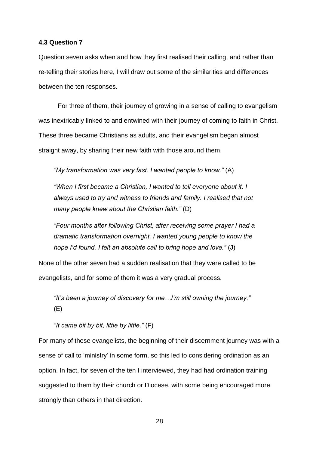#### <span id="page-28-0"></span>**4.3 Question 7**

Question seven asks when and how they first realised their calling, and rather than re-telling their stories here, I will draw out some of the similarities and differences between the ten responses.

For three of them, their journey of growing in a sense of calling to evangelism was inextricably linked to and entwined with their journey of coming to faith in Christ. These three became Christians as adults, and their evangelism began almost straight away, by sharing their new faith with those around them.

*"My transformation was very fast. I wanted people to know."* (A)

*"When I first became a Christian, I wanted to tell everyone about it. I always used to try and witness to friends and family. I realised that not many people knew about the Christian faith."* (D)

*"Four months after following Christ, after receiving some prayer I had a dramatic transformation overnight. I wanted young people to know the hope I'd found. I felt an absolute call to bring hope and love."* (J)

None of the other seven had a sudden realisation that they were called to be evangelists, and for some of them it was a very gradual process.

*"It's been a journey of discovery for me…I'm still owning the journey."* (E)

*"It came bit by bit, little by little."* (F)

For many of these evangelists, the beginning of their discernment journey was with a sense of call to 'ministry' in some form, so this led to considering ordination as an option. In fact, for seven of the ten I interviewed, they had had ordination training suggested to them by their church or Diocese, with some being encouraged more strongly than others in that direction.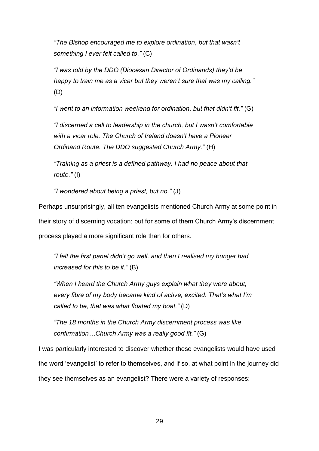*"The Bishop encouraged me to explore ordination, but that wasn't something I ever felt called to."* (C)

*"I was told by the DDO (Diocesan Director of Ordinands) they'd be happy to train me as a vicar but they weren't sure that was my calling."* (D)

*"I went to an information weekend for ordination, but that didn't fit."* (G)

*"I discerned a call to leadership in the church, but I wasn't comfortable with a vicar role. The Church of Ireland doesn't have a Pioneer Ordinand Route. The DDO suggested Church Army."* (H)

*"Training as a priest is a defined pathway. I had no peace about that route."* (I)

*"I wondered about being a priest, but no."* (J)

Perhaps unsurprisingly, all ten evangelists mentioned Church Army at some point in their story of discerning vocation; but for some of them Church Army's discernment process played a more significant role than for others.

*"I felt the first panel didn't go well, and then I realised my hunger had increased for this to be it."* (B)

*"When I heard the Church Army guys explain what they were about, every fibre of my body became kind of active, excited. That's what I'm called to be, that was what floated my boat."* (D)

*"The 18 months in the Church Army discernment process was like confirmation…Church Army was a really good fit."* (G)

I was particularly interested to discover whether these evangelists would have used the word 'evangelist' to refer to themselves, and if so, at what point in the journey did they see themselves as an evangelist? There were a variety of responses: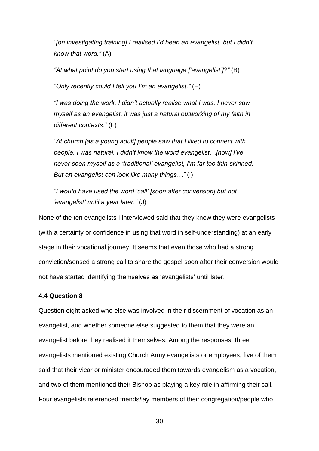*"[on investigating training] I realised I'd been an evangelist, but I didn't know that word."* (A)

*"At what point do you start using that language ['evangelist']?"* (B)

*"Only recently could I tell you I'm an evangelist."* (E)

*"I was doing the work, I didn't actually realise what I was. I never saw myself as an evangelist, it was just a natural outworking of my faith in different contexts."* (F)

*"At church [as a young adult] people saw that I liked to connect with people, I was natural. I didn't know the word evangelist…[now] I've never seen myself as a 'traditional' evangelist, I'm far too thin-skinned. But an evangelist can look like many things…"* (I)

*"I would have used the word 'call' [soon after conversion] but not 'evangelist' until a year later."* (J)

None of the ten evangelists I interviewed said that they knew they were evangelists (with a certainty or confidence in using that word in self-understanding) at an early stage in their vocational journey. It seems that even those who had a strong conviction/sensed a strong call to share the gospel soon after their conversion would not have started identifying themselves as 'evangelists' until later.

#### <span id="page-30-0"></span>**4.4 Question 8**

Question eight asked who else was involved in their discernment of vocation as an evangelist, and whether someone else suggested to them that they were an evangelist before they realised it themselves. Among the responses, three evangelists mentioned existing Church Army evangelists or employees, five of them said that their vicar or minister encouraged them towards evangelism as a vocation, and two of them mentioned their Bishop as playing a key role in affirming their call. Four evangelists referenced friends/lay members of their congregation/people who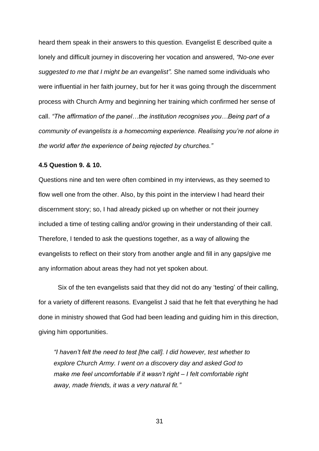heard them speak in their answers to this question. Evangelist E described quite a lonely and difficult journey in discovering her vocation and answered, *"No-one ever suggested to me that I might be an evangelist".* She named some individuals who were influential in her faith journey, but for her it was going through the discernment process with Church Army and beginning her training which confirmed her sense of call. *"The affirmation of the panel…the institution recognises you…Being part of a community of evangelists is a homecoming experience. Realising you're not alone in the world after the experience of being rejected by churches."*

#### <span id="page-31-0"></span>**4.5 Question 9. & 10.**

Questions nine and ten were often combined in my interviews, as they seemed to flow well one from the other. Also, by this point in the interview I had heard their discernment story; so, I had already picked up on whether or not their journey included a time of testing calling and/or growing in their understanding of their call. Therefore, I tended to ask the questions together, as a way of allowing the evangelists to reflect on their story from another angle and fill in any gaps/give me any information about areas they had not yet spoken about.

Six of the ten evangelists said that they did not do any 'testing' of their calling, for a variety of different reasons. Evangelist J said that he felt that everything he had done in ministry showed that God had been leading and guiding him in this direction, giving him opportunities.

*"I haven't felt the need to test [the call]. I did however, test whether to explore Church Army. I went on a discovery day and asked God to make me feel uncomfortable if it wasn't right – I felt comfortable right away, made friends, it was a very natural fit."*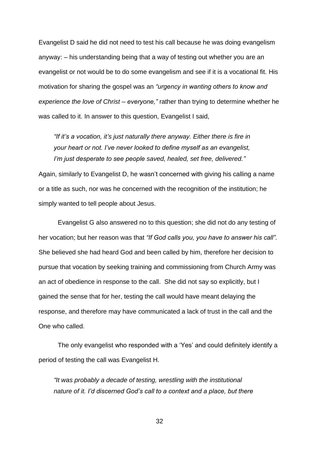Evangelist D said he did not need to test his call because he was doing evangelism anyway: – his understanding being that a way of testing out whether you are an evangelist or not would be to do some evangelism and see if it is a vocational fit. His motivation for sharing the gospel was an *"urgency in wanting others to know and experience the love of Christ – everyone,"* rather than trying to determine whether he was called to it. In answer to this question, Evangelist I said,

*"If it's a vocation, it's just naturally there anyway. Either there is fire in your heart or not. I've never looked to define myself as an evangelist, I'm just desperate to see people saved, healed, set free, delivered."*

Again, similarly to Evangelist D, he wasn't concerned with giving his calling a name or a title as such, nor was he concerned with the recognition of the institution; he simply wanted to tell people about Jesus.

Evangelist G also answered no to this question; she did not do any testing of her vocation; but her reason was that *"If God calls you, you have to answer his call".* She believed she had heard God and been called by him, therefore her decision to pursue that vocation by seeking training and commissioning from Church Army was an act of obedience in response to the call. She did not say so explicitly, but I gained the sense that for her, testing the call would have meant delaying the response, and therefore may have communicated a lack of trust in the call and the One who called.

The only evangelist who responded with a 'Yes' and could definitely identify a period of testing the call was Evangelist H.

*"It was probably a decade of testing, wrestling with the institutional nature of it. I'd discerned God's call to a context and a place, but there*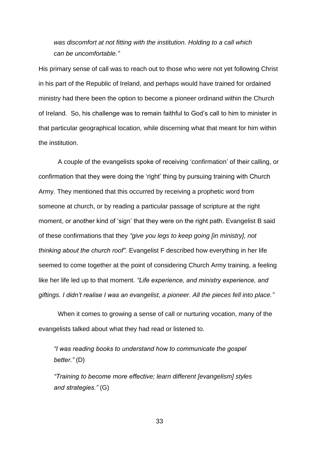*was discomfort at not fitting with the institution. Holding to a call which can be uncomfortable."*

His primary sense of call was to reach out to those who were not yet following Christ in his part of the Republic of Ireland, and perhaps would have trained for ordained ministry had there been the option to become a pioneer ordinand within the Church of Ireland. So, his challenge was to remain faithful to God's call to him to minister in that particular geographical location, while discerning what that meant for him within the institution.

A couple of the evangelists spoke of receiving 'confirmation' of their calling, or confirmation that they were doing the 'right' thing by pursuing training with Church Army. They mentioned that this occurred by receiving a prophetic word from someone at church, or by reading a particular passage of scripture at the right moment, or another kind of 'sign' that they were on the right path. Evangelist B said of these confirmations that they *"give you legs to keep going [in ministry], not thinking about the church roof".* Evangelist F described how everything in her life seemed to come together at the point of considering Church Army training, a feeling like her life led up to that moment. *"Life experience, and ministry experience, and giftings. I didn't realise I was an evangelist, a pioneer. All the pieces fell into place."*

When it comes to growing a sense of call or nurturing vocation, many of the evangelists talked about what they had read or listened to.

*"I was reading books to understand how to communicate the gospel better."* (D)

*"Training to become more effective; learn different [evangelism] styles and strategies."* (G)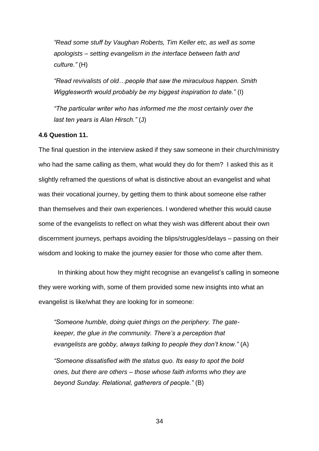*"Read some stuff by Vaughan Roberts, Tim Keller etc, as well as some apologists – setting evangelism in the interface between faith and culture."* (H)

*"Read revivalists of old…people that saw the miraculous happen. Smith Wigglesworth would probably be my biggest inspiration to date."* (I)

*"The particular writer who has informed me the most certainly over the last ten years is Alan Hirsch."* (J)

#### <span id="page-34-0"></span>**4.6 Question 11.**

The final question in the interview asked if they saw someone in their church/ministry who had the same calling as them, what would they do for them? I asked this as it slightly reframed the questions of what is distinctive about an evangelist and what was their vocational journey, by getting them to think about someone else rather than themselves and their own experiences. I wondered whether this would cause some of the evangelists to reflect on what they wish was different about their own discernment journeys, perhaps avoiding the blips/struggles/delays – passing on their wisdom and looking to make the journey easier for those who come after them.

In thinking about how they might recognise an evangelist's calling in someone they were working with, some of them provided some new insights into what an evangelist is like/what they are looking for in someone:

*"Someone humble, doing quiet things on the periphery. The gatekeeper, the glue in the community. There's a perception that evangelists are gobby, always talking to people they don't know."* (A)

*"Someone dissatisfied with the status quo. Its easy to spot the bold ones, but there are others – those whose faith informs who they are beyond Sunday. Relational, gatherers of people."* (B)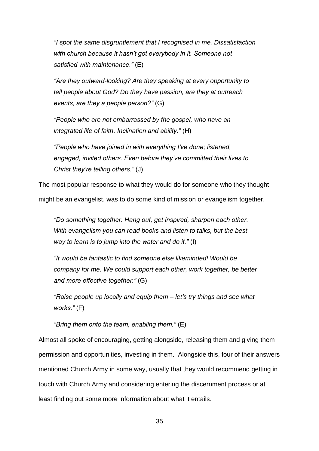*"I spot the same disgruntlement that I recognised in me. Dissatisfaction with church because it hasn't got everybody in it. Someone not satisfied with maintenance."* (E)

*"Are they outward-looking? Are they speaking at every opportunity to tell people about God? Do they have passion, are they at outreach events, are they a people person?"* (G)

*"People who are not embarrassed by the gospel, who have an integrated life of faith. Inclination and ability."* (H)

*"People who have joined in with everything I've done; listened, engaged, invited others. Even before they've committed their lives to Christ they're telling others."* (J)

The most popular response to what they would do for someone who they thought

might be an evangelist, was to do some kind of mission or evangelism together.

*"Do something together. Hang out, get inspired, sharpen each other. With evangelism you can read books and listen to talks, but the best way to learn is to jump into the water and do it."* (I)

*"It would be fantastic to find someone else likeminded! Would be company for me. We could support each other, work together, be better and more effective together."* (G)

*"Raise people up locally and equip them – let's try things and see what works."* (F)

*"Bring them onto the team, enabling them."* (E)

Almost all spoke of encouraging, getting alongside, releasing them and giving them permission and opportunities, investing in them. Alongside this, four of their answers mentioned Church Army in some way, usually that they would recommend getting in touch with Church Army and considering entering the discernment process or at least finding out some more information about what it entails.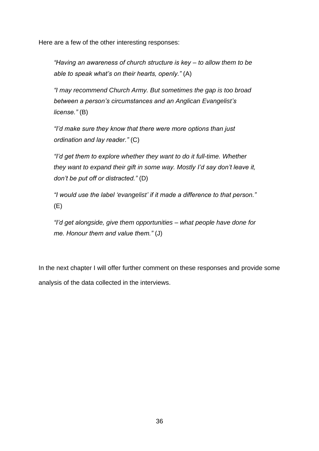Here are a few of the other interesting responses:

*"Having an awareness of church structure is key – to allow them to be able to speak what's on their hearts, openly."* (A)

*"I may recommend Church Army. But sometimes the gap is too broad between a person's circumstances and an Anglican Evangelist's license."* (B)

*"I'd make sure they know that there were more options than just ordination and lay reader."* (C)

*"I'd get them to explore whether they want to do it full-time. Whether they want to expand their gift in some way. Mostly I'd say don't leave it, don't be put off or distracted."* (D)

*"I would use the label 'evangelist' if it made a difference to that person."*  (E)

*"I'd get alongside, give them opportunities – what people have done for me. Honour them and value them."* (J)

In the next chapter I will offer further comment on these responses and provide some analysis of the data collected in the interviews.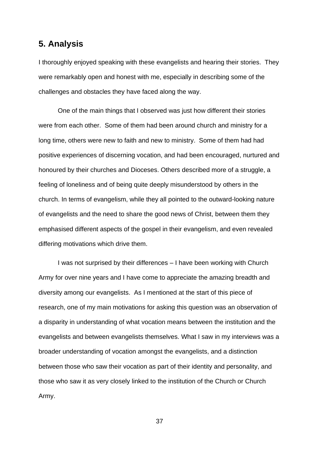## <span id="page-37-0"></span>**5. Analysis**

I thoroughly enjoyed speaking with these evangelists and hearing their stories. They were remarkably open and honest with me, especially in describing some of the challenges and obstacles they have faced along the way.

One of the main things that I observed was just how different their stories were from each other. Some of them had been around church and ministry for a long time, others were new to faith and new to ministry. Some of them had had positive experiences of discerning vocation, and had been encouraged, nurtured and honoured by their churches and Dioceses. Others described more of a struggle, a feeling of loneliness and of being quite deeply misunderstood by others in the church. In terms of evangelism, while they all pointed to the outward-looking nature of evangelists and the need to share the good news of Christ, between them they emphasised different aspects of the gospel in their evangelism, and even revealed differing motivations which drive them.

I was not surprised by their differences – I have been working with Church Army for over nine years and I have come to appreciate the amazing breadth and diversity among our evangelists. As I mentioned at the start of this piece of research, one of my main motivations for asking this question was an observation of a disparity in understanding of what vocation means between the institution and the evangelists and between evangelists themselves. What I saw in my interviews was a broader understanding of vocation amongst the evangelists, and a distinction between those who saw their vocation as part of their identity and personality, and those who saw it as very closely linked to the institution of the Church or Church Army.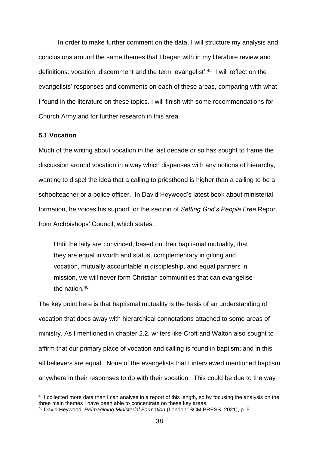In order to make further comment on the data, I will structure my analysis and conclusions around the same themes that I began with in my literature review and definitions: vocation, discernment and the term 'evangelist'.<sup>45</sup> I will reflect on the evangelists' responses and comments on each of these areas, comparing with what I found in the literature on these topics. I will finish with some recommendations for Church Army and for further research in this area.

#### <span id="page-38-0"></span>**5.1 Vocation**

Much of the writing about vocation in the last decade or so has sought to frame the discussion around vocation in a way which dispenses with any notions of hierarchy, wanting to dispel the idea that a calling to priesthood is higher than a calling to be a schoolteacher or a police officer. In David Heywood's latest book about ministerial formation, he voices his support for the section of *Setting God's People Free* Report from Archbishops' Council, which states:

Until the laity are convinced, based on their baptismal mutuality, that they are equal in worth and status, complementary in gifting and vocation, mutually accountable in discipleship, and equal partners in mission, we will never form Christian communities that can evangelise the nation  $46$ 

The key point here is that baptismal mutuality is the basis of an understanding of vocation that does away with hierarchical connotations attached to some areas of ministry. As I mentioned in chapter 2.2, writers like Croft and Walton also sought to affirm that our primary place of vocation and calling is found in baptism; and in this all believers are equal. None of the evangelists that I interviewed mentioned baptism anywhere in their responses to do with their vocation. This could be due to the way

<sup>45</sup> I collected more data than I can analyse in a report of this length, so by focusing the analysis on the three main themes I have been able to concentrate on these key areas.

<sup>46</sup> David Heywood, *Reimagining Ministerial Formation* (London: SCM PRESS, 2021), p. 5.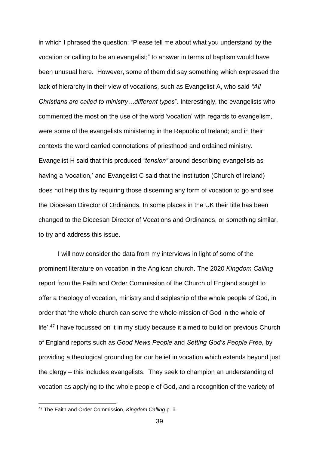in which I phrased the question: "Please tell me about what you understand by the vocation or calling to be an evangelist;" to answer in terms of baptism would have been unusual here. However, some of them did say something which expressed the lack of hierarchy in their view of vocations, such as Evangelist A, who said *"All Christians are called to ministry…different types*". Interestingly, the evangelists who commented the most on the use of the word 'vocation' with regards to evangelism, were some of the evangelists ministering in the Republic of Ireland; and in their contexts the word carried connotations of priesthood and ordained ministry. Evangelist H said that this produced *"tension"* around describing evangelists as having a 'vocation,' and Evangelist C said that the institution (Church of Ireland) does not help this by requiring those discerning any form of vocation to go and see the Diocesan Director of Ordinands. In some places in the UK their title has been changed to the Diocesan Director of Vocations and Ordinands, or something similar, to try and address this issue.

I will now consider the data from my interviews in light of some of the prominent literature on vocation in the Anglican church. The 2020 *Kingdom Calling* report from the Faith and Order Commission of the Church of England sought to offer a theology of vocation, ministry and discipleship of the whole people of God, in order that 'the whole church can serve the whole mission of God in the whole of life'.<sup>47</sup> I have focussed on it in my study because it aimed to build on previous Church of England reports such as *Good News People* and *Setting God's People Free,* by providing a theological grounding for our belief in vocation which extends beyond just the clergy – this includes evangelists. They seek to champion an understanding of vocation as applying to the whole people of God, and a recognition of the variety of

<sup>47</sup> The Faith and Order Commission, *Kingdom Calling* p. ii.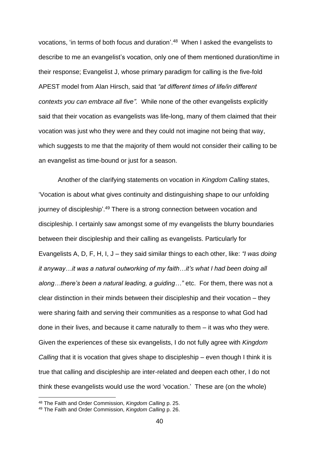vocations, 'in terms of both focus and duration'. 48 When I asked the evangelists to describe to me an evangelist's vocation, only one of them mentioned duration/time in their response; Evangelist J, whose primary paradigm for calling is the five-fold APEST model from Alan Hirsch, said that *"at different times of life/in different contexts you can embrace all five".* While none of the other evangelists explicitly said that their vocation as evangelists was life-long, many of them claimed that their vocation was just who they were and they could not imagine not being that way, which suggests to me that the majority of them would not consider their calling to be an evangelist as time-bound or just for a season.

Another of the clarifying statements on vocation in *Kingdom Calling* states, 'Vocation is about what gives continuity and distinguishing shape to our unfolding journey of discipleship'.<sup>49</sup> There is a strong connection between vocation and discipleship. I certainly saw amongst some of my evangelists the blurry boundaries between their discipleship and their calling as evangelists. Particularly for Evangelists A, D, F, H, I, J – they said similar things to each other, like: *"I was doing it anyway…it was a natural outworking of my faith…it's what I had been doing all along…there's been a natural leading, a guiding…"* etc. For them, there was not a clear distinction in their minds between their discipleship and their vocation – they were sharing faith and serving their communities as a response to what God had done in their lives, and because it came naturally to them – it was who they were. Given the experiences of these six evangelists, I do not fully agree with *Kingdom Calling* that it is vocation that gives shape to discipleship – even though I think it is true that calling and discipleship are inter-related and deepen each other, I do not think these evangelists would use the word 'vocation.' These are (on the whole)

<sup>48</sup> The Faith and Order Commission, *Kingdom Calling* p. 25.

<sup>49</sup> The Faith and Order Commission, *Kingdom Calling* p. 26.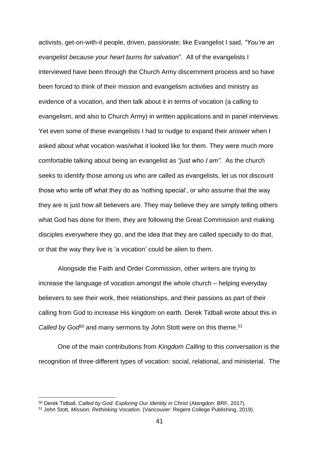activists, get-on-with-it people, driven, passionate; like Evangelist I said, *"You're an evangelist because your heart burns for salvation*". All of the evangelists I interviewed have been through the Church Army discernment process and so have been forced to think of their mission and evangelism activities and ministry as evidence of a vocation, and then talk about it in terms of vocation (a calling to evangelism, and also to Church Army) in written applications and in panel interviews. Yet even some of these evangelists I had to nudge to expand their answer when I asked about what vocation was/what it looked like for them. They were much more comfortable talking about being an evangelist as *"just who I am".* As the church seeks to identify those among us who are called as evangelists, let us not discount those who write off what they do as 'nothing special', or who assume that the way they are is just how all believers are. They may believe they are simply telling others what God has done for them, they are following the Great Commission and making disciples everywhere they go, and the idea that they are called specially to do that, or that the way they live is 'a vocation' could be alien to them.

Alongside the Faith and Order Commission, other writers are trying to increase the language of vocation amongst the whole church – helping everyday believers to see their work, their relationships, and their passions as part of their calling from God to increase His kingdom on earth. Derek Tidball wrote about this in *Called by God*<sup>50</sup> and many sermons by John Stott were on this theme.<sup>51</sup>

One of the main contributions from *Kingdom Calling* to this conversation is the recognition of three different types of vocation: social, relational, and ministerial. The

<sup>50</sup> Derek Tidball, *Called by God: Exploring Our Identity in Christ* (Abingdon: BRF, 2017).

<sup>51</sup> John Stott, *Mission: Rethinking Vocation.* (Vancouver: Regent College Publishing, 2019).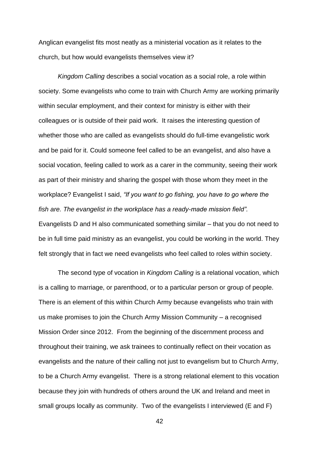Anglican evangelist fits most neatly as a ministerial vocation as it relates to the church, but how would evangelists themselves view it?

*Kingdom Calling* describes a social vocation as a social role, a role within society. Some evangelists who come to train with Church Army are working primarily within secular employment, and their context for ministry is either with their colleagues or is outside of their paid work. It raises the interesting question of whether those who are called as evangelists should do full-time evangelistic work and be paid for it. Could someone feel called to be an evangelist, and also have a social vocation, feeling called to work as a carer in the community, seeing their work as part of their ministry and sharing the gospel with those whom they meet in the workplace? Evangelist I said, *"If you want to go fishing, you have to go where the fish are. The evangelist in the workplace has a ready-made mission field".* Evangelists D and H also communicated something similar – that you do not need to be in full time paid ministry as an evangelist, you could be working in the world. They felt strongly that in fact we need evangelists who feel called to roles within society.

The second type of vocation in *Kingdom Calling* is a relational vocation, which is a calling to marriage, or parenthood, or to a particular person or group of people. There is an element of this within Church Army because evangelists who train with us make promises to join the Church Army Mission Community – a recognised Mission Order since 2012. From the beginning of the discernment process and throughout their training, we ask trainees to continually reflect on their vocation as evangelists and the nature of their calling not just to evangelism but to Church Army, to be a Church Army evangelist. There is a strong relational element to this vocation because they join with hundreds of others around the UK and Ireland and meet in small groups locally as community. Two of the evangelists I interviewed (E and F)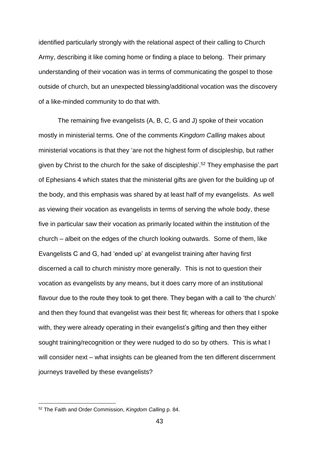identified particularly strongly with the relational aspect of their calling to Church Army, describing it like coming home or finding a place to belong. Their primary understanding of their vocation was in terms of communicating the gospel to those outside of church, but an unexpected blessing/additional vocation was the discovery of a like-minded community to do that with.

The remaining five evangelists (A, B, C, G and J) spoke of their vocation mostly in ministerial terms. One of the comments *Kingdom Calling* makes about ministerial vocations is that they 'are not the highest form of discipleship, but rather given by Christ to the church for the sake of discipleship'.<sup>52</sup> They emphasise the part of Ephesians 4 which states that the ministerial gifts are given for the building up of the body, and this emphasis was shared by at least half of my evangelists. As well as viewing their vocation as evangelists in terms of serving the whole body, these five in particular saw their vocation as primarily located within the institution of the church – albeit on the edges of the church looking outwards. Some of them, like Evangelists C and G, had 'ended up' at evangelist training after having first discerned a call to church ministry more generally. This is not to question their vocation as evangelists by any means, but it does carry more of an institutional flavour due to the route they took to get there. They began with a call to 'the church' and then they found that evangelist was their best fit; whereas for others that I spoke with, they were already operating in their evangelist's gifting and then they either sought training/recognition or they were nudged to do so by others. This is what I will consider next – what insights can be gleaned from the ten different discernment journeys travelled by these evangelists?

<sup>52</sup> The Faith and Order Commission, *Kingdom Calling* p. 84.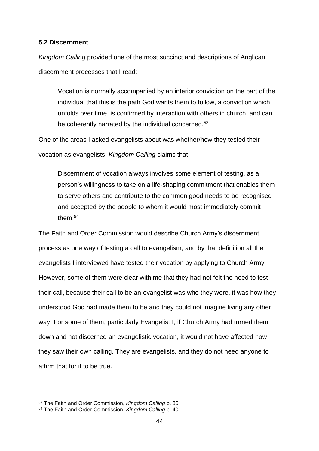#### <span id="page-44-0"></span>**5.2 Discernment**

*Kingdom Calling* provided one of the most succinct and descriptions of Anglican discernment processes that I read:

Vocation is normally accompanied by an interior conviction on the part of the individual that this is the path God wants them to follow, a conviction which unfolds over time, is confirmed by interaction with others in church, and can be coherently narrated by the individual concerned.<sup>53</sup>

One of the areas I asked evangelists about was whether/how they tested their vocation as evangelists. *Kingdom Calling* claims that,

Discernment of vocation always involves some element of testing, as a person's willingness to take on a life-shaping commitment that enables them to serve others and contribute to the common good needs to be recognised and accepted by the people to whom it would most immediately commit them.<sup>54</sup>

The Faith and Order Commission would describe Church Army's discernment process as one way of testing a call to evangelism, and by that definition all the evangelists I interviewed have tested their vocation by applying to Church Army. However, some of them were clear with me that they had not felt the need to test their call, because their call to be an evangelist was who they were, it was how they understood God had made them to be and they could not imagine living any other way. For some of them, particularly Evangelist I, if Church Army had turned them down and not discerned an evangelistic vocation, it would not have affected how they saw their own calling. They are evangelists, and they do not need anyone to affirm that for it to be true.

<sup>53</sup> The Faith and Order Commission, *Kingdom Calling* p. 36.

<sup>54</sup> The Faith and Order Commission, *Kingdom Calling* p. 40.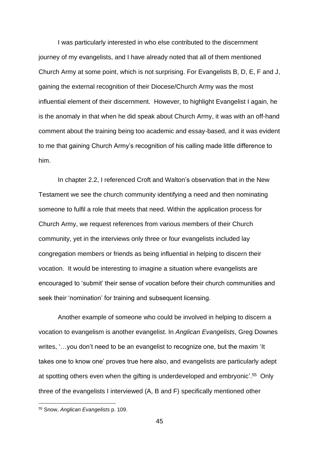I was particularly interested in who else contributed to the discernment journey of my evangelists, and I have already noted that all of them mentioned Church Army at some point, which is not surprising. For Evangelists B, D, E, F and J, gaining the external recognition of their Diocese/Church Army was the most influential element of their discernment. However, to highlight Evangelist I again, he is the anomaly in that when he did speak about Church Army, it was with an off-hand comment about the training being too academic and essay-based, and it was evident to me that gaining Church Army's recognition of his calling made little difference to him.

In chapter 2.2, I referenced Croft and Walton's observation that in the New Testament we see the church community identifying a need and then nominating someone to fulfil a role that meets that need. Within the application process for Church Army, we request references from various members of their Church community, yet in the interviews only three or four evangelists included lay congregation members or friends as being influential in helping to discern their vocation. It would be interesting to imagine a situation where evangelists are encouraged to 'submit' their sense of vocation before their church communities and seek their 'nomination' for training and subsequent licensing.

Another example of someone who could be involved in helping to discern a vocation to evangelism is another evangelist. In *Anglican Evangelists*, Greg Downes writes, '…you don't need to be an evangelist to recognize one, but the maxim 'It takes one to know one' proves true here also, and evangelists are particularly adept at spotting others even when the gifting is underdeveloped and embryonic'.<sup>55</sup> Only three of the evangelists I interviewed (A, B and F) specifically mentioned other

<sup>55</sup> Snow, *Anglican Evangelists* p. 109.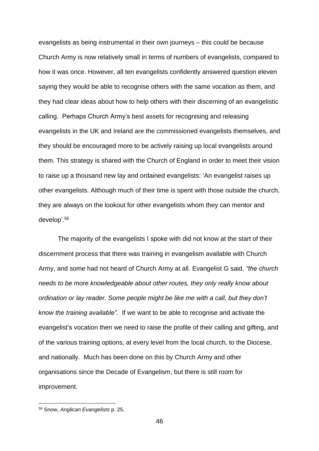evangelists as being instrumental in their own journeys – this could be because Church Army is now relatively small in terms of numbers of evangelists, compared to how it was once. However, all ten evangelists confidently answered question eleven saying they would be able to recognise others with the same vocation as them, and they had clear ideas about how to help others with their discerning of an evangelistic calling. Perhaps Church Army's best assets for recognising and releasing evangelists in the UK and Ireland are the commissioned evangelists themselves, and they should be encouraged more to be actively raising up local evangelists around them. This strategy is shared with the Church of England in order to meet their vision to raise up a thousand new lay and ordained evangelists: 'An evangelist raises up other evangelists. Although much of their time is spent with those outside the church, they are always on the lookout for other evangelists whom they can mentor and develop'. 56

The majority of the evangelists I spoke with did not know at the start of their discernment process that there was training in evangelism available with Church Army, and some had not heard of Church Army at all. Evangelist G said, *"the church needs to be more knowledgeable about other routes, they only really know about ordination or lay reader. Some people might be like me with a call, but they don't know the training available".* If we want to be able to recognise and activate the evangelist's vocation then we need to raise the profile of their calling and gifting, and of the various training options, at every level from the local church, to the Diocese, and nationally. Much has been done on this by Church Army and other organisations since the Decade of Evangelism, but there is still room for improvement.

<sup>56</sup> Snow, *Anglican Evangelists* p. 25.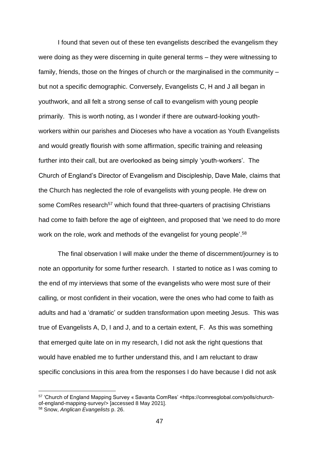I found that seven out of these ten evangelists described the evangelism they were doing as they were discerning in quite general terms – they were witnessing to family, friends, those on the fringes of church or the marginalised in the community – but not a specific demographic. Conversely, Evangelists C, H and J all began in youthwork, and all felt a strong sense of call to evangelism with young people primarily. This is worth noting, as I wonder if there are outward-looking youthworkers within our parishes and Dioceses who have a vocation as Youth Evangelists and would greatly flourish with some affirmation, specific training and releasing further into their call, but are overlooked as being simply 'youth-workers'. The Church of England's Director of Evangelism and Discipleship, Dave Male, claims that the Church has neglected the role of evangelists with young people. He drew on some ComRes research<sup>57</sup> which found that three-quarters of practising Christians had come to faith before the age of eighteen, and proposed that 'we need to do more work on the role, work and methods of the evangelist for young people<sup>'.58</sup>

The final observation I will make under the theme of discernment/journey is to note an opportunity for some further research. I started to notice as I was coming to the end of my interviews that some of the evangelists who were most sure of their calling, or most confident in their vocation, were the ones who had come to faith as adults and had a 'dramatic' or sudden transformation upon meeting Jesus. This was true of Evangelists A, D, I and J, and to a certain extent, F. As this was something that emerged quite late on in my research, I did not ask the right questions that would have enabled me to further understand this, and I am reluctant to draw specific conclusions in this area from the responses I do have because I did not ask

<sup>57</sup> 'Church of England Mapping Survey « Savanta ComRes' <https://comresglobal.com/polls/churchof-england-mapping-survey/> [accessed 8 May 2021].

<sup>58</sup> Snow, *Anglican Evangelists* p. 26.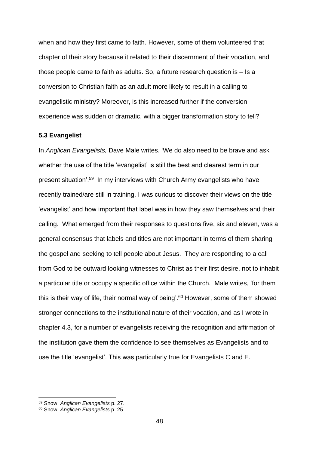when and how they first came to faith. However, some of them volunteered that chapter of their story because it related to their discernment of their vocation, and those people came to faith as adults. So, a future research question is – Is a conversion to Christian faith as an adult more likely to result in a calling to evangelistic ministry? Moreover, is this increased further if the conversion experience was sudden or dramatic, with a bigger transformation story to tell?

#### <span id="page-48-0"></span>**5.3 Evangelist**

In *Anglican Evangelists,* Dave Male writes, 'We do also need to be brave and ask whether the use of the title 'evangelist' is still the best and clearest term in our present situation'.<sup>59</sup> In my interviews with Church Army evangelists who have recently trained/are still in training, I was curious to discover their views on the title 'evangelist' and how important that label was in how they saw themselves and their calling. What emerged from their responses to questions five, six and eleven, was a general consensus that labels and titles are not important in terms of them sharing the gospel and seeking to tell people about Jesus. They are responding to a call from God to be outward looking witnesses to Christ as their first desire, not to inhabit a particular title or occupy a specific office within the Church. Male writes, 'for them this is their way of life, their normal way of being'. <sup>60</sup> However, some of them showed stronger connections to the institutional nature of their vocation, and as I wrote in chapter 4.3, for a number of evangelists receiving the recognition and affirmation of the institution gave them the confidence to see themselves as Evangelists and to use the title 'evangelist'. This was particularly true for Evangelists C and E.

<sup>59</sup> Snow, *Anglican Evangelists* p. 27.

<sup>60</sup> Snow, *Anglican Evangelists* p. 25.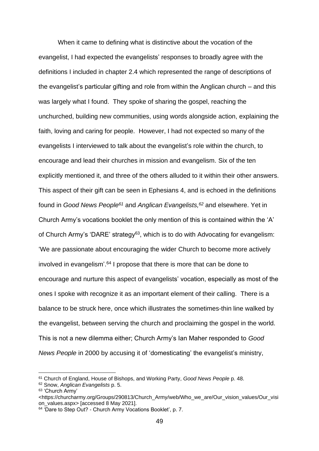When it came to defining what is distinctive about the vocation of the evangelist, I had expected the evangelists' responses to broadly agree with the definitions I included in chapter 2.4 which represented the range of descriptions of the evangelist's particular gifting and role from within the Anglican church – and this was largely what I found. They spoke of sharing the gospel, reaching the unchurched, building new communities, using words alongside action, explaining the faith, loving and caring for people. However, I had not expected so many of the evangelists I interviewed to talk about the evangelist's role within the church, to encourage and lead their churches in mission and evangelism. Six of the ten explicitly mentioned it, and three of the others alluded to it within their other answers. This aspect of their gift can be seen in Ephesians 4, and is echoed in the definitions found in *Good News People<sup>61</sup>* and *Anglican Evangelists, <sup>62</sup>* and elsewhere. Yet in Church Army's vocations booklet the only mention of this is contained within the 'A' of Church Army's 'DARE' strategy<sup>63</sup>, which is to do with Advocating for evangelism: 'We are passionate about encouraging the wider Church to become more actively involved in evangelism'. <sup>64</sup> I propose that there is more that can be done to encourage and nurture this aspect of evangelists' vocation, especially as most of the ones I spoke with recognize it as an important element of their calling. There is a balance to be struck here, once which illustrates the sometimes-thin line walked by the evangelist, between serving the church and proclaiming the gospel in the world. This is not a new dilemma either; Church Army's Ian Maher responded to *Good News People* in 2000 by accusing it of 'domesticating' the evangelist's ministry,

<sup>61</sup> Church of England, House of Bishops, and Working Party, *Good News People* p. 48.

<sup>62</sup> Snow, *Anglican Evangelists* p. 5.

<sup>63</sup> 'Church Army'

<sup>&</sup>lt;https://churcharmy.org/Groups/290813/Church\_Army/web/Who\_we\_are/Our\_vision\_values/Our\_visi on\_values.aspx> [accessed 8 May 2021].

<sup>&</sup>lt;sup>64</sup> 'Dare to Step Out? - Church Army Vocations Booklet', p. 7.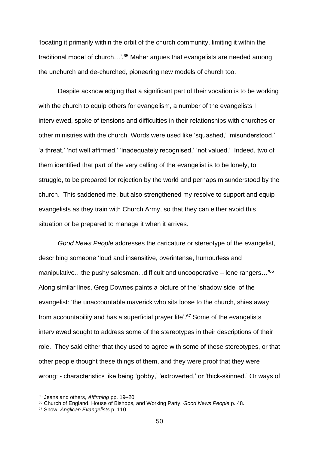'locating it primarily within the orbit of the church community, limiting it within the traditional model of church...'.<sup>65</sup> Maher argues that evangelists are needed among the unchurch and de-churched, pioneering new models of church too.

Despite acknowledging that a significant part of their vocation is to be working with the church to equip others for evangelism, a number of the evangelists I interviewed, spoke of tensions and difficulties in their relationships with churches or other ministries with the church. Words were used like 'squashed,' 'misunderstood,' 'a threat,' 'not well affirmed,' 'inadequately recognised,' 'not valued.' Indeed, two of them identified that part of the very calling of the evangelist is to be lonely, to struggle, to be prepared for rejection by the world and perhaps misunderstood by the church. This saddened me, but also strengthened my resolve to support and equip evangelists as they train with Church Army, so that they can either avoid this situation or be prepared to manage it when it arrives.

*Good News People* addresses the caricature or stereotype of the evangelist, describing someone 'loud and insensitive, overintense, humourless and manipulative...the pushy salesman...difficult and uncooperative – lone rangers...'<sup>66</sup> Along similar lines, Greg Downes paints a picture of the 'shadow side' of the evangelist: 'the unaccountable maverick who sits loose to the church, shies away from accountability and has a superficial prayer life'.<sup>67</sup> Some of the evangelists I interviewed sought to address some of the stereotypes in their descriptions of their role. They said either that they used to agree with some of these stereotypes, or that other people thought these things of them, and they were proof that they were wrong: - characteristics like being 'gobby,' 'extroverted,' or 'thick-skinned.' Or ways of

<sup>65</sup> Jeans and others, *Affirming* pp. 19–20.

<sup>66</sup> Church of England, House of Bishops, and Working Party, *Good News People* p. 48.

<sup>67</sup> Snow, *Anglican Evangelists* p. 110.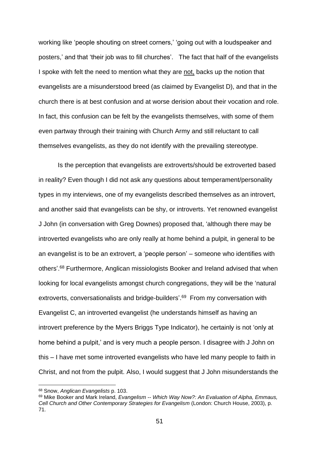working like 'people shouting on street corners,' 'going out with a loudspeaker and posters,' and that 'their job was to fill churches'. The fact that half of the evangelists I spoke with felt the need to mention what they are not, backs up the notion that evangelists are a misunderstood breed (as claimed by Evangelist D), and that in the church there is at best confusion and at worse derision about their vocation and role. In fact, this confusion can be felt by the evangelists themselves, with some of them even partway through their training with Church Army and still reluctant to call themselves evangelists, as they do not identify with the prevailing stereotype.

Is the perception that evangelists are extroverts/should be extroverted based in reality? Even though I did not ask any questions about temperament/personality types in my interviews, one of my evangelists described themselves as an introvert, and another said that evangelists can be shy, or introverts. Yet renowned evangelist J John (in conversation with Greg Downes) proposed that, 'although there may be introverted evangelists who are only really at home behind a pulpit, in general to be an evangelist is to be an extrovert, a 'people person' – someone who identifies with others'.<sup>68</sup> Furthermore, Anglican missiologists Booker and Ireland advised that when looking for local evangelists amongst church congregations, they will be the 'natural extroverts, conversationalists and bridge-builders'.<sup>69</sup> From my conversation with Evangelist C, an introverted evangelist (he understands himself as having an introvert preference by the Myers Briggs Type Indicator), he certainly is not 'only at home behind a pulpit,' and is very much a people person. I disagree with J John on this – I have met some introverted evangelists who have led many people to faith in Christ, and not from the pulpit. Also, I would suggest that J John misunderstands the

<sup>68</sup> Snow, *Anglican Evangelists* p. 103.

<sup>69</sup> Mike Booker and Mark Ireland, *Evangelism -- Which Way Now?: An Evaluation of Alpha, Emmaus, Cell Church and Other Contemporary Strategies for Evangelism* (London: Church House, 2003), p. 71.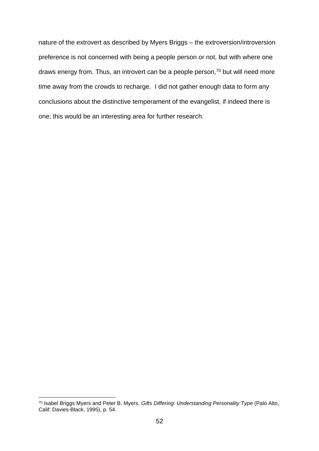nature of the extrovert as described by Myers Briggs – the extroversion/introversion preference is not concerned with being a people person or not, but with where one draws energy from. Thus, an introvert can be a people person,<sup>70</sup> but will need more time away from the crowds to recharge. I did not gather enough data to form any conclusions about the distinctive temperament of the evangelist, if indeed there is one; this would be an interesting area for further research.

<sup>70</sup> Isabel Briggs Myers and Peter B. Myers, *Gifts Differing: Understanding Personality Type* (Palo Alto, Calif: Davies-Black, 1995), p. 54.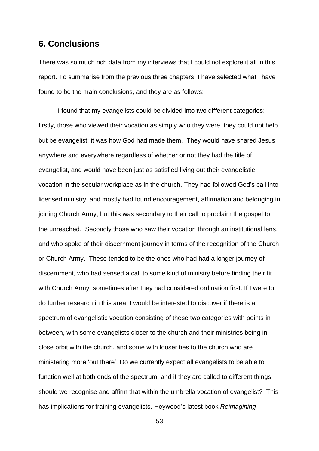# <span id="page-53-0"></span>**6. Conclusions**

There was so much rich data from my interviews that I could not explore it all in this report. To summarise from the previous three chapters, I have selected what I have found to be the main conclusions, and they are as follows:

I found that my evangelists could be divided into two different categories: firstly, those who viewed their vocation as simply who they were, they could not help but be evangelist; it was how God had made them. They would have shared Jesus anywhere and everywhere regardless of whether or not they had the title of evangelist, and would have been just as satisfied living out their evangelistic vocation in the secular workplace as in the church. They had followed God's call into licensed ministry, and mostly had found encouragement, affirmation and belonging in joining Church Army; but this was secondary to their call to proclaim the gospel to the unreached. Secondly those who saw their vocation through an institutional lens, and who spoke of their discernment journey in terms of the recognition of the Church or Church Army. These tended to be the ones who had had a longer journey of discernment, who had sensed a call to some kind of ministry before finding their fit with Church Army, sometimes after they had considered ordination first. If I were to do further research in this area, I would be interested to discover if there is a spectrum of evangelistic vocation consisting of these two categories with points in between, with some evangelists closer to the church and their ministries being in close orbit with the church, and some with looser ties to the church who are ministering more 'out there'. Do we currently expect all evangelists to be able to function well at both ends of the spectrum, and if they are called to different things should we recognise and affirm that within the umbrella vocation of evangelist? This has implications for training evangelists. Heywood's latest book *Reimagining*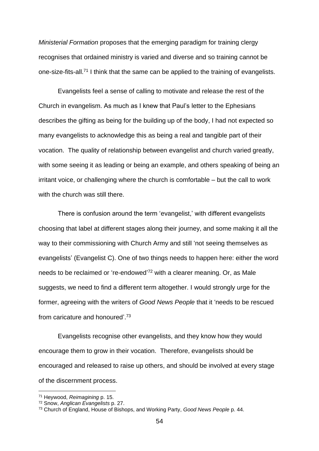*Ministerial Formation* proposes that the emerging paradigm for training clergy recognises that ordained ministry is varied and diverse and so training cannot be one-size-fits-all.<sup>71</sup> I think that the same can be applied to the training of evangelists.

Evangelists feel a sense of calling to motivate and release the rest of the Church in evangelism. As much as I knew that Paul's letter to the Ephesians describes the gifting as being for the building up of the body, I had not expected so many evangelists to acknowledge this as being a real and tangible part of their vocation. The quality of relationship between evangelist and church varied greatly, with some seeing it as leading or being an example, and others speaking of being an irritant voice, or challenging where the church is comfortable – but the call to work with the church was still there.

There is confusion around the term 'evangelist,' with different evangelists choosing that label at different stages along their journey, and some making it all the way to their commissioning with Church Army and still 'not seeing themselves as evangelists' (Evangelist C). One of two things needs to happen here: either the word needs to be reclaimed or 're-endowed' <sup>72</sup> with a clearer meaning. Or, as Male suggests, we need to find a different term altogether. I would strongly urge for the former, agreeing with the writers of *Good News People* that it 'needs to be rescued from caricature and honoured'. 73

Evangelists recognise other evangelists, and they know how they would encourage them to grow in their vocation. Therefore, evangelists should be encouraged and released to raise up others, and should be involved at every stage of the discernment process.

<sup>71</sup> Heywood, *Reimagining* p. 15.

<sup>72</sup> Snow, *Anglican Evangelists* p. 27.

<sup>73</sup> Church of England, House of Bishops, and Working Party, *Good News People* p. 44.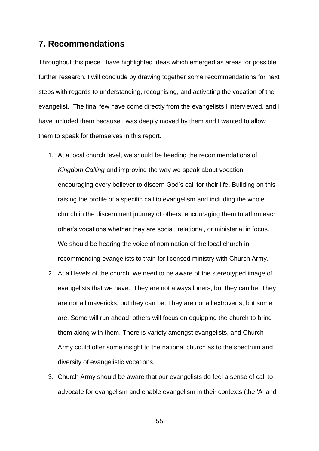# <span id="page-55-0"></span>**7. Recommendations**

Throughout this piece I have highlighted ideas which emerged as areas for possible further research. I will conclude by drawing together some recommendations for next steps with regards to understanding, recognising, and activating the vocation of the evangelist. The final few have come directly from the evangelists I interviewed, and I have included them because I was deeply moved by them and I wanted to allow them to speak for themselves in this report.

- 1. At a local church level, we should be heeding the recommendations of *Kingdom Calling* and improving the way we speak about vocation, encouraging every believer to discern God's call for their life. Building on this raising the profile of a specific call to evangelism and including the whole church in the discernment journey of others, encouraging them to affirm each other's vocations whether they are social, relational, or ministerial in focus. We should be hearing the voice of nomination of the local church in recommending evangelists to train for licensed ministry with Church Army.
- 2. At all levels of the church, we need to be aware of the stereotyped image of evangelists that we have. They are not always loners, but they can be. They are not all mavericks, but they can be. They are not all extroverts, but some are. Some will run ahead; others will focus on equipping the church to bring them along with them. There is variety amongst evangelists, and Church Army could offer some insight to the national church as to the spectrum and diversity of evangelistic vocations.
- 3. Church Army should be aware that our evangelists do feel a sense of call to advocate for evangelism and enable evangelism in their contexts (the 'A' and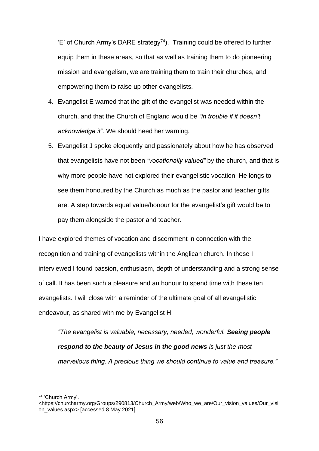$E'$  of Church Army's DARE strategy<sup>74</sup>). Training could be offered to further equip them in these areas, so that as well as training them to do pioneering mission and evangelism, we are training them to train their churches, and empowering them to raise up other evangelists.

- 4. Evangelist E warned that the gift of the evangelist was needed within the church, and that the Church of England would be *"in trouble if it doesn't acknowledge it".* We should heed her warning.
- 5. Evangelist J spoke eloquently and passionately about how he has observed that evangelists have not been *"vocationally valued"* by the church, and that is why more people have not explored their evangelistic vocation. He longs to see them honoured by the Church as much as the pastor and teacher gifts are. A step towards equal value/honour for the evangelist's gift would be to pay them alongside the pastor and teacher.

I have explored themes of vocation and discernment in connection with the recognition and training of evangelists within the Anglican church. In those I interviewed I found passion, enthusiasm, depth of understanding and a strong sense of call. It has been such a pleasure and an honour to spend time with these ten evangelists. I will close with a reminder of the ultimate goal of all evangelistic endeavour, as shared with me by Evangelist H:

*"The evangelist is valuable, necessary, needed, wonderful. Seeing people respond to the beauty of Jesus in the good news is just the most marvellous thing. A precious thing we should continue to value and treasure."*

<sup>74</sup> 'Church Army'.

<sup>&</sup>lt;https://churcharmy.org/Groups/290813/Church\_Army/web/Who\_we\_are/Our\_vision\_values/Our\_visi on\_values.aspx> [accessed 8 May 2021]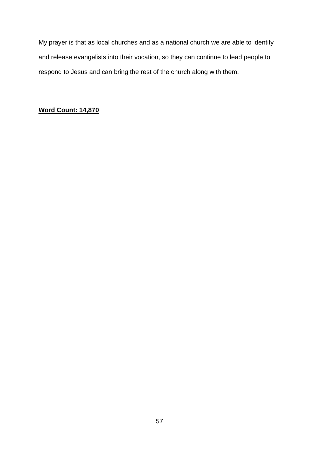My prayer is that as local churches and as a national church we are able to identify and release evangelists into their vocation, so they can continue to lead people to respond to Jesus and can bring the rest of the church along with them.

## **Word Count: 14,870**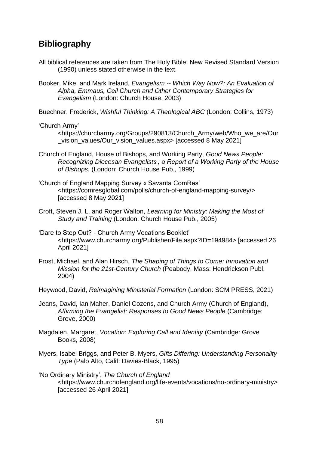# <span id="page-58-0"></span>**Bibliography**

- All biblical references are taken from The Holy Bible: New Revised Standard Version (1990) unless stated otherwise in the text.
- Booker, Mike, and Mark Ireland, *Evangelism -- Which Way Now?: An Evaluation of Alpha, Emmaus, Cell Church and Other Contemporary Strategies for Evangelism* (London: Church House, 2003)

Buechner, Frederick, *Wishful Thinking: A Theological ABC* (London: Collins, 1973)

#### 'Church Army'

<https://churcharmy.org/Groups/290813/Church\_Army/web/Who\_we\_are/Our \_vision\_values/Our\_vision\_values.aspx> [accessed 8 May 2021]

- Church of England, House of Bishops, and Working Party, *Good News People: Recognizing Diocesan Evangelists ; a Report of a Working Party of the House of Bishops.* (London: Church House Pub., 1999)
- 'Church of England Mapping Survey « Savanta ComRes' <https://comresglobal.com/polls/church-of-england-mapping-survey/> [accessed 8 May 2021]
- Croft, Steven J. L, and Roger Walton, *Learning for Ministry: Making the Most of Study and Training* (London: Church House Pub., 2005)
- 'Dare to Step Out? Church Army Vocations Booklet' <https://www.churcharmy.org/Publisher/File.aspx?ID=194984> [accessed 26 April 2021]
- Frost, Michael, and Alan Hirsch, *The Shaping of Things to Come: Innovation and Mission for the 21st-Century Church* (Peabody, Mass: Hendrickson Publ, 2004)
- Heywood, David, *Reimagining Ministerial Formation* (London: SCM PRESS, 2021)
- Jeans, David, Ian Maher, Daniel Cozens, and Church Army (Church of England), *Affirming the Evangelist: Responses to Good News People* (Cambridge: Grove, 2000)
- Magdalen, Margaret, *Vocation: Exploring Call and Identity* (Cambridge: Grove Books, 2008)
- Myers, Isabel Briggs, and Peter B. Myers, *Gifts Differing: Understanding Personality Type* (Palo Alto, Calif: Davies-Black, 1995)
- 'No Ordinary Ministry', *The Church of England* <https://www.churchofengland.org/life-events/vocations/no-ordinary-ministry> [accessed 26 April 2021]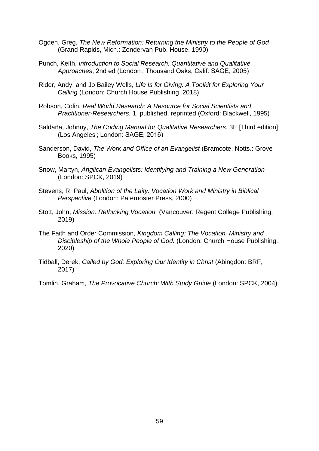- Ogden, Greg, *The New Reformation: Returning the Ministry to the People of God* (Grand Rapids, Mich.: Zondervan Pub. House, 1990)
- Punch, Keith, *Introduction to Social Research: Quantitative and Qualitative Approaches*, 2nd ed (London ; Thousand Oaks, Calif: SAGE, 2005)
- Rider, Andy, and Jo Bailey Wells, *Life Is for Giving: A Toolkit for Exploring Your Calling* (London: Church House Publishing, 2018)
- Robson, Colin, *Real World Research: A Resource for Social Scientists and Practitioner-Researchers*, 1. published, reprinted (Oxford: Blackwell, 1995)
- Saldaña, Johnny, *The Coding Manual for Qualitative Researchers*, 3E [Third edition] (Los Angeles ; London: SAGE, 2016)
- Sanderson, David, *The Work and Office of an Evangelist* (Bramcote, Notts.: Grove Books, 1995)
- Snow, Martyn, *Anglican Evangelists: Identifying and Training a New Generation* (London: SPCK, 2019)
- Stevens, R. Paul, *Abolition of the Laity: Vocation Work and Ministry in Biblical Perspective* (London: Paternoster Press, 2000)
- Stott, John, *Mission: Rethinking Vocation.* (Vancouver: Regent College Publishing, 2019)
- The Faith and Order Commission, *Kingdom Calling: The Vocation, Ministry and Discipleship of the Whole People of God.* (London: Church House Publishing, 2020)
- Tidball, Derek, *Called by God: Exploring Our Identity in Christ* (Abingdon: BRF, 2017)
- Tomlin, Graham, *The Provocative Church: With Study Guide* (London: SPCK, 2004)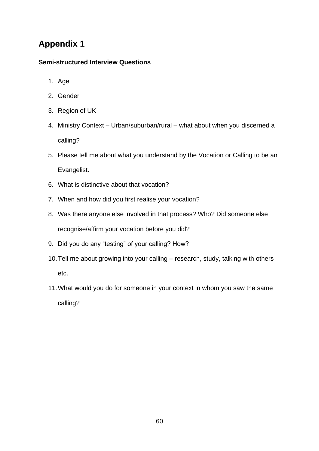# <span id="page-60-0"></span>**Appendix 1**

## **Semi-structured Interview Questions**

- 1. Age
- 2. Gender
- 3. Region of UK
- 4. Ministry Context Urban/suburban/rural what about when you discerned a calling?
- 5. Please tell me about what you understand by the Vocation or Calling to be an Evangelist.
- 6. What is distinctive about that vocation?
- 7. When and how did you first realise your vocation?
- 8. Was there anyone else involved in that process? Who? Did someone else recognise/affirm your vocation before you did?
- 9. Did you do any "testing" of your calling? How?
- 10.Tell me about growing into your calling research, study, talking with others etc.
- 11.What would you do for someone in your context in whom you saw the same calling?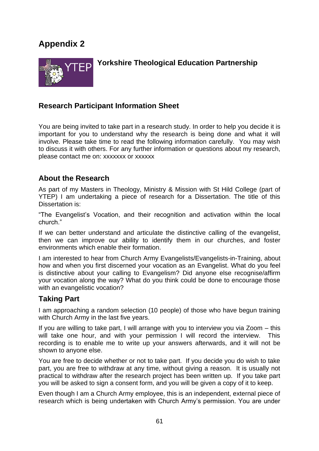# <span id="page-61-0"></span>**Appendix 2**



# **Yorkshire Theological Education Partnership**

# **Research Participant Information Sheet**

You are being invited to take part in a research study. In order to help you decide it is important for you to understand why the research is being done and what it will involve. Please take time to read the following information carefully. You may wish to discuss it with others. For any further information or questions about my research, please contact me on: xxxxxxx or xxxxxx

# **About the Research**

As part of my Masters in Theology, Ministry & Mission with St Hild College (part of YTEP) I am undertaking a piece of research for a Dissertation. The title of this Dissertation is:

"The Evangelist's Vocation, and their recognition and activation within the local church."

If we can better understand and articulate the distinctive calling of the evangelist, then we can improve our ability to identify them in our churches, and foster environments which enable their formation.

I am interested to hear from Church Army Evangelists/Evangelists-in-Training, about how and when you first discerned your vocation as an Evangelist. What do you feel is distinctive about your calling to Evangelism? Did anyone else recognise/affirm your vocation along the way? What do you think could be done to encourage those with an evangelistic vocation?

## **Taking Part**

I am approaching a random selection (10 people) of those who have begun training with Church Army in the last five years.

If you are willing to take part, I will arrange with you to interview you via Zoom – this will take one hour, and with your permission I will record the interview. This recording is to enable me to write up your answers afterwards, and it will not be shown to anyone else.

You are free to decide whether or not to take part. If you decide you do wish to take part, you are free to withdraw at any time, without giving a reason. It is usually not practical to withdraw after the research project has been written up. If you take part you will be asked to sign a consent form, and you will be given a copy of it to keep.

Even though I am a Church Army employee, this is an independent, external piece of research which is being undertaken with Church Army's permission. You are under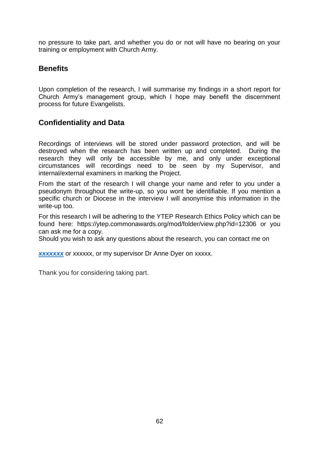no pressure to take part, and whether you do or not will have no bearing on your training or employment with Church Army.

# **Benefits**

Upon completion of the research, I will summarise my findings in a short report for Church Army's management group, which I hope may benefit the discernment process for future Evangelists.

# **Confidentiality and Data**

Recordings of interviews will be stored under password protection, and will be destroyed when the research has been written up and completed. During the research they will only be accessible by me, and only under exceptional circumstances will recordings need to be seen by my Supervisor, and internal/external examiners in marking the Project.

From the start of the research I will change your name and refer to you under a pseudonym throughout the write-up, so you wont be identifiable. If you mention a specific church or Diocese in the interview I will anonymise this information in the write-up too.

For this research I will be adhering to the YTEP Research Ethics Policy which can be found here: <https://ytep.commonawards.org/mod/folder/view.php?id=12306> or you can ask me for a copy.

Should you wish to ask any questions about the research, you can contact me on

**[xxxxxxx](mailto:beth.burras@gmail.com)** or xxxxxx, or my supervisor Dr Anne Dyer on xxxxx.

Thank you for considering taking part.